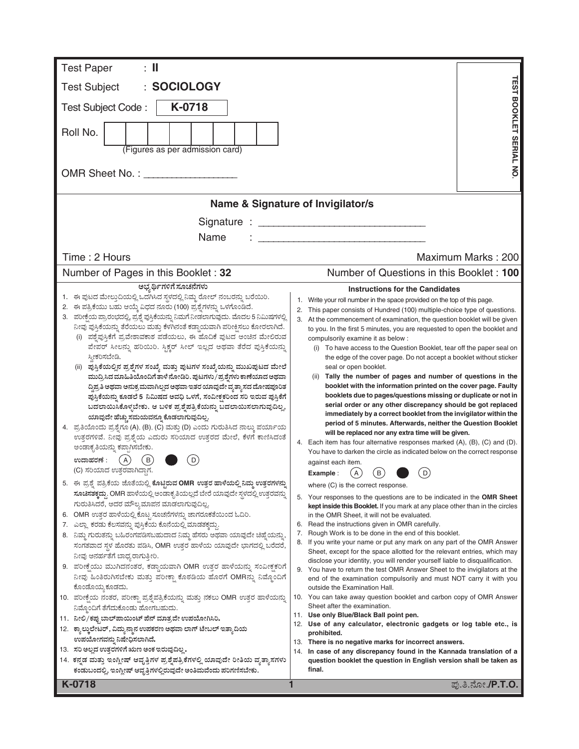| <b>Test Paper</b><br>: II                                                                                                                                       |                                                                                                                                                              |
|-----------------------------------------------------------------------------------------------------------------------------------------------------------------|--------------------------------------------------------------------------------------------------------------------------------------------------------------|
| : SOCIOLOGY<br><b>Test Subject</b>                                                                                                                              | <b>TEST BOOKLET SERIAL NO</b>                                                                                                                                |
| K-0718<br>Test Subject Code:                                                                                                                                    |                                                                                                                                                              |
|                                                                                                                                                                 |                                                                                                                                                              |
| Roll No.                                                                                                                                                        |                                                                                                                                                              |
| (Figures as per admission card)                                                                                                                                 |                                                                                                                                                              |
| OMR Sheet No.:                                                                                                                                                  |                                                                                                                                                              |
|                                                                                                                                                                 |                                                                                                                                                              |
|                                                                                                                                                                 | Name & Signature of Invigilator/s                                                                                                                            |
|                                                                                                                                                                 |                                                                                                                                                              |
| Name                                                                                                                                                            |                                                                                                                                                              |
| Time: 2 Hours                                                                                                                                                   | Maximum Marks: 200                                                                                                                                           |
| Number of Pages in this Booklet: 32                                                                                                                             | Number of Questions in this Booklet: 100                                                                                                                     |
| ಅಭ್ಯರ್ಥಿಗಳಿಗೆ ಸೂಚನೆಗಳು                                                                                                                                          | <b>Instructions for the Candidates</b>                                                                                                                       |
| 1. ಈ ಪುಟದ ಮೇಲ್ತುದಿಯಲ್ಲಿ ಒದಗಿಸಿದ ಸ್ಥಳದಲ್ಲಿ ನಿಮ್ಮ ರೋಲ್ ನಂಬರನ್ನು ಬರೆಯಿರಿ.<br>2. ಈ ಪತ್ರಿಕೆಯು ಬಹು ಆಯ್ಕೆ ವಿಧದ ನೂರು (100) ಪ್ರಶ್ನೆಗಳನ್ನು ಒಳಗೊಂಡಿದೆ.                     | Write your roll number in the space provided on the top of this page.<br>1.<br>2.<br>This paper consists of Hundred (100) multiple-choice type of questions. |
| 3. ಪರೀಕ್ಷೆಯ ಪ್ರಾರಂಭದಲ್ಲಿ, ಪ್ರಶ್ನೆ ಪುಸ್ತಿಕೆಯನ್ನು ನಿಮಗೆ ನೀಡಲಾಗುವುದು. ಮೊದಲ 5 ನಿಮಿಷಗಳಲ್ಲಿ                                                                           | 3.<br>At the commencement of examination, the question booklet will be given                                                                                 |
| ನೀವು ಪುಸ್ತಿಕೆಯನ್ನು ತೆರೆಯಲು ಮತ್ತು ಕೆಳಗಿನಂತೆ ಕಡ್ಡಾಯವಾಗಿ ಪರೀಕ್ಷಿಸಲು ಕೋರಲಾಗಿದೆ.                                                                                     | to you. In the first 5 minutes, you are requested to open the booklet and                                                                                    |
| ಪಶ್ನೆಪುಸ್ತಿಕೆಗೆ ಪ್ರವೇಶಾವಕಾಶ ಪಡೆಯಲು, ಈ ಹೊದಿಕೆ ಪುಟದ ಅಂಚಿನ ಮೇಲಿರುವ<br>ಪೇಪರ್ ಸೀಲನ್ನು ಹರಿಯಿರಿ. ಸ್ಟಿಕ್ಚರ್ ಸೀಲ್ ಇಲ್ಲದ ಅಥವಾ ತೆರೆದ ಪುಸ್ತಿಕೆಯನ್ನು                         | compulsorily examine it as below :<br>(i) To have access to the Question Booklet, tear off the paper seal on                                                 |
| ಸ್ತೀಕರಿಸಬೇಡಿ.                                                                                                                                                   | the edge of the cover page. Do not accept a booklet without sticker                                                                                          |
| (ii) ಪುಸ್ತಿಕೆಯಲ್ಲಿನ ಪ್ರಶ್ನೆಗಳ ಸಂಖ್ಯೆ ಮತ್ತು ಪುಟಗಳ ಸಂಖ್ಯೆಯನ್ನು ಮುಖಪುಟದ ಮೇಲೆ                                                                                       | seal or open booklet.                                                                                                                                        |
| ಮುದ್ರಿಸಿದ ಮಾಹಿತಿಯೊಂದಿಗೆ ತಾಳೆ ನೋಡಿರಿ. ಪುಟಗಳು / ಪ್ರಶ್ನೆಗಳು ಕಾಣೆಯಾದ ಅಥವಾ<br>ದ್ದಿಪ್ರತಿ ಅಥವಾ ಅನುಕ್ರಮವಾಗಿಲ್ಲದ ಅಥವಾ ಇತರ ಯಾವುದೇ ವ್ಯತ್ಯಾಸದ ದೋಷಪೂರಿತ                      | (ii) Tally the number of pages and number of questions in the<br>booklet with the information printed on the cover page. Faulty                              |
| ಪುಸ್ತಿಕೆಯನ್ನು ಕೂಡಲೆ 5 ನಿಮಿಷದ ಅವಧಿ ಒಳಗೆ, ಸಂವೀಕ್ಷಕರಿಂದ ಸರಿ ಇರುವ ಪುಸ್ತಿಕೆಗೆ                                                                                        | booklets due to pages/questions missing or duplicate or not in                                                                                               |
| ಬದಲಾಯಿಸಿಕೊಳ್ಳಬೇಕು. ಆ ಬಳಿಕ ಪ್ರಶ್ನೆಪತ್ರಿಕೆಯನ್ನು ಬದಲಾಯಿಸಲಾಗುವುದಿಲ್ಲ,                                                                                               | serial order or any other discrepancy should be got replaced<br>immediately by a correct booklet from the invigilator within the                             |
| ಯಾವುದೇ ಹೆಚ್ಚು ಸಮಯವನ್ನೂ ಕೊಡಲಾಗುವುದಿಲ್ಲ.<br>4. ಪ್ರತಿಯೊಂದು ಪ್ರಶ್ನೆಗೂ (A), (B), (C) ಮತ್ತು (D) ಎಂದು ಗುರುತಿಸಿದ ನಾಲ್ಕು ಪರ್ಯಾಯ                                          | period of 5 minutes. Afterwards, neither the Question Booklet                                                                                                |
| ಉತ್ತರಗಳಿವೆ. ನೀವು ಪ್ರಶ್ನೆಯ ಎದುರು ಸರಿಯಾದ ಉತ್ತರದ ಮೇಲೆ, ಕೆಳಗೆ ಕಾಣಿಸಿದಂತೆ                                                                                            | will be replaced nor any extra time will be given.                                                                                                           |
| ಅಂಡಾಕೃತಿಯನ್ನು ಕಪ್ಪಾಗಿಸಬೇಕು.                                                                                                                                     | 4. Each item has four alternative responses marked (A), (B), (C) and (D).<br>You have to darken the circle as indicated below on the correct response        |
| ಉದಾಹರಣೆ :<br>(A)<br>В                                                                                                                                           | against each item.                                                                                                                                           |
| (C) ಸರಿಯಾದ ಉತ್ತರವಾಗಿದ್ದಾಗ.                                                                                                                                      | $\rm (B)$<br>$\mathsf{A}$<br>D<br>Example :                                                                                                                  |
| 5. ಈ ಪ್ರಶ್ನೆ ಪತ್ರಿಕೆಯ ಜೊತೆಯಲ್ಲಿ ಕೊಟ್ಟಿರುವ OMR ಉತ್ತರ ಹಾಳೆಯಲ್ಲಿ ನಿಮ್ಮ ಉತ್ತರಗಳನ್ನು<br>ಸೂಚಿಸತಕ್ಕದ್ದು. OMR ಹಾಳೆಯಲ್ಲಿ ಅಂಡಾಕೃತಿಯಲ್ಲದೆ ಬೇರೆ ಯಾವುದೇ ಸ್ಥಳದಲ್ಲಿ ಉತ್ತರವನ್ನು | where (C) is the correct response.                                                                                                                           |
| ಗುರುತಿಸಿದರೆ, ಅದರ ಮೌಲ್ಯಮಾಪನ ಮಾಡಲಾಗುವುದಿಲ್ಲ.                                                                                                                      | 5. Your responses to the questions are to be indicated in the OMR Sheet<br>kept inside this Booklet. If you mark at any place other than in the circles      |
| 6. OMR ಉತ್ತರ ಹಾಳೆಯಲ್ಲಿ ಕೊಟ್ಟ ಸೂಚನೆಗಳನ್ನು ಜಾಗರೂಕತೆಯಿಂದ ಓದಿರಿ.                                                                                                    | in the OMR Sheet, it will not be evaluated.                                                                                                                  |
| 7. ಎಲ್ಲಾ ಕರಡು ಕೆಲಸವನ್ನು ಪುಸ್ತಿಕೆಯ ಕೊನೆಯಲ್ಲಿ ಮಾಡತಕ್ಕದ್ದು                                                                                                         | 6. Read the instructions given in OMR carefully.<br>Rough Work is to be done in the end of this booklet.<br>7.                                               |
| 8. ನಿಮ್ಮ ಗುರುತನ್ನು ಬಹಿರಂಗಪಡಿಸಬಹುದಾದ ನಿಮ್ಮ ಹೆಸರು ಅಥವಾ ಯಾವುದೇ ಚಿಹ್ನೆಯನ್ನು,<br>ಸಂಗತವಾದ ಸ್ಥಳ ಹೊರತು ಪಡಿಸಿ, OMR ಉತ್ತರ ಹಾಳೆಯ ಯಾವುದೇ ಭಾಗದಲ್ಲಿ ಬರೆದರೆ,                   | If you write your name or put any mark on any part of the OMR Answer<br>8.                                                                                   |
| ನೀವು ಅನರ್ಹತೆಗೆ ಬಾಧ್ಯರಾಗುತ್ತೀರಿ.                                                                                                                                 | Sheet, except for the space allotted for the relevant entries, which may<br>disclose your identity, you will render yourself liable to disqualification.     |
| 9. ಪರೀಕ್ಷೆಯು ಮುಗಿದನಂತರ, ಕಡ್ಡಾಯವಾಗಿ OMR ಉತ್ತರ ಹಾಳೆಯನ್ನು ಸಂವೀಕ್ಷಕರಿಗೆ                                                                                             | 9. You have to return the test OMR Answer Sheet to the invigilators at the                                                                                   |
| ನೀವು ಹಿಂತಿರುಗಿಸಬೇಕು ಮತ್ತು ಪರೀಕ್ಷಾ ಕೊಠಡಿಯ ಹೊರಗೆ OMRನ್ನು ನಿಮ್ಮೊಂದಿಗೆ                                                                                              | end of the examination compulsorily and must NOT carry it with you                                                                                           |
| ಕೊಂಡೊಯ್ಯ ಕೂಡದು.<br>10. ಪರೀಕ್ಷೆಯ ನಂತರ, ಪರೀಕ್ಷಾ ಪ್ರಶ್ನೆಪತ್ರಿಕೆಯನ್ನು ಮತ್ತು ನಕಲು OMR ಉತ್ತರ ಹಾಳೆಯನ್ನು                                                                | outside the Examination Hall.<br>10. You can take away question booklet and carbon copy of OMR Answer                                                        |
| ನಿಮ್ಗೊಂದಿಗೆ ತೆಗೆದುಕೊಂಡು ಹೋಗಬಹುದು.                                                                                                                               | Sheet after the examination.                                                                                                                                 |
| 11.   ನೀಲಿ/ಕಪ್ಪು ಬಾಲ್ ಪಾಯಿಂಟ್ ಪೆನ್ ಮಾತ್ರವೇ ಉಪಯೋಗಿಸಿರಿ.                                                                                                          | 11. Use only Blue/Black Ball point pen.<br>12. Use of any calculator, electronic gadgets or log table etc., is                                               |
| 12. ಕ್ಯಾಲ್ಕುಲೇಟರ್, ವಿದ್ಯುನ್ಮಾನ ಉಪಕರಣ ಅಥವಾ ಲಾಗ್ ಟೇಬಲ್ ಇತ್ಯಾದಿಯ<br>ಉಪಯೋಗವನ್ನು ನಿಷೇಧಿಸಲಾಗಿದೆ.                                                                      | prohibited.                                                                                                                                                  |
| 13. ಸರಿ ಅಲ್ಲದ ಉತ್ತರಗಳಿಗೆ ಋಣ ಅಂಕ ಇರುವುದಿಲ್ಲ.                                                                                                                     | 13. There is no negative marks for incorrect answers.<br>In case of any discrepancy found in the Kannada translation of a<br>14.                             |
| 14. ಕನ್ನಡ ಮತ್ತು ಇಂಗ್ಲೀಷ್ ಆವೃತ್ತಿಗಳ ಪ್ರಶ್ನೆಪತ್ರಿಕೆಗಳಲ್ಲಿ ಯಾವುದೇ ರೀತಿಯ ವ್ಯತ್ಯಾಸಗಳು                                                                                | question booklet the question in English version shall be taken as                                                                                           |
| ಕಂಡುಬಂದಲ್ಲಿ, ಇಂಗ್ಲೀಷ್ ಆವೃತ್ತಿಗಳಲ್ಲಿರುವುದೇ ಅಂತಿಮವೆಂದು ಪರಿಗಣಿಸಬೇಕು.                                                                                               | final.                                                                                                                                                       |
| K-0718                                                                                                                                                          | ಪು.ತಿ.ನೋ. <b>/P.T.O.</b>                                                                                                                                     |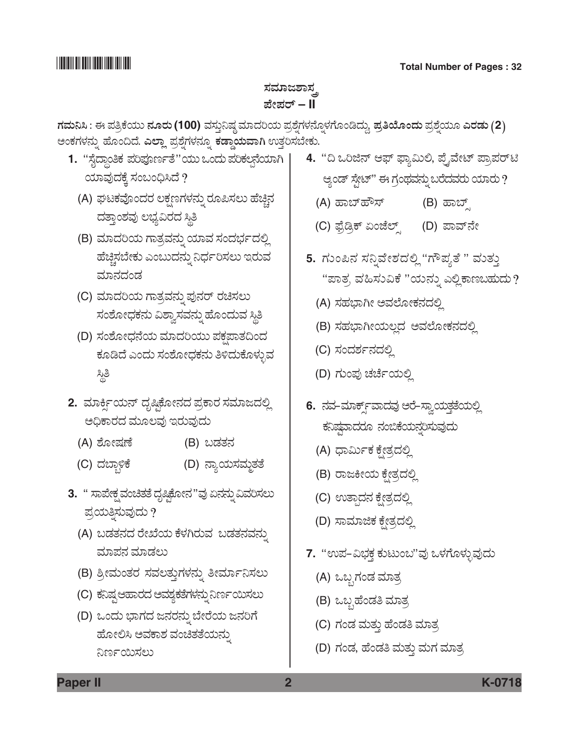## ಸಮಾಜಶಾಸ್ತ್ರ *±æà±ÜÃ…* **– II**

*WÜÊÜá¯Ô : D ±Ü£ÅPæ¿áá ®ÜãÃÜá* **(100)** ÊÜÓÜ᤯ÐÜu ÊÜÞ¨ÜÄ¿á ±ÜÅÍæ°WÜÙÜ®æã°ÙÜWæãíw¨Üáª, *±ÜÅ£Áãí¨Üá* ±ÜÅÍæ°¿áã *GÃÜvÜá (***2***)*  ಅಂಕಗಳನ್ನು ಹೊಂದಿದೆ. **ಎಲ್ಲಾ** ಪ್ರಶ್ನೆಗಳನ್ನೂ <mark>ಕಡ್ಡಾಯವಾಗಿ</mark> ಉತ್ತರಿಸಬೇಕು.

- 1. "ಸೈದ್ಧಾಂತಿಕ ಪರಿಪೂರ್ಣತೆ"ಯು ಒಂದು ಪರಿಕಲ್ಪನೆಯಾಗಿ ಯಾವುದಕ್ಕೆ ಸಂಬಂಧಿಸಿದೆ ?
	- (A) ಘಟಕವೊಂದರ ಲಕ್ಷಣಗಳನ್ನು ರೂಪಿಸಲು ಹೆಚ್ಚಿನ ದತ್ತಾಂಶವು ಲಭ್ಯವಿರದ ಸ್ಥಿತಿ
	- (B) ಮಾದರಿಯ ಗಾತ್ರವನ್ನು ಯಾವ ಸಂದರ್ಭದಲ್ಲಿ ಹೆಚ್ಚಿಸಬೇಕು ಎಂಬುದನ್ನು ನಿರ್ಧರಿಸಲು ಇರುವ ಮಾನದಂಡ
	- (C) ಮಾದರಿಯ ಗಾತ್ರವನ್ನು ಪುನರ್ ರಚಿಸಲು ಸಂಶೋಧಕನು ವಿಶ್ವಾಸವನ್ನು ಹೊಂದುವ ಸ್ಥಿತಿ
	- (D) ಸಂಶೋಧನೆಯ ಮಾದರಿಯು ಪಕ್ಷಪಾತದಿಂದ ಕೂಡಿದೆ ಎಂದು ಸಂಶೋಧಕನು ತಿಳಿದುಕೊಳ್ಳುವ ್ದಿತಿ
- 2. ಮಾರ್ಕ್ನಿಯನ್ ದೃಷ್ಟಿಕೋನದ ಪ್ರಕಾರ ಸಮಾಜದಲ್ಲಿ ಅಧಿಕಾರದ ಮೂಲವು ಇರುವುದು
	- (A) ಶೋಷಣೆ (B) ಬಡತನ
	- (C) ದಬ್ಲಾಳಿಕೆ (D) ನ್ಯಾಯಸಮ್ಧತತೆ
- 3. " ಸಾಪೇಕ್ಷ ವಂಚಿತತೆ ದೃಷ್ಠಿಕೋನ "ವು ಏನನ್ನು ವಿವರಿಸಲು ಪ್ರಯತ್ನಿಸುವುದು ?
	- (A) ಬಡತನದ ರೇಖೆಯ ಕೆಳಗಿರುವ ಬಡತನವನ್ನು ಮಾಪನ ಮಾಡಲು
	- (B) ಶ್ರೀಮಂತರ ಸವಲತ್ತುಗಳನ್ನು ತೀರ್ಮಾನಿಸಲು
	- (C) ಕನಿಷ್ಠ ಆಹಾರದ ಅವಶ್ಯಕತೆಗಳನ್ನು ನಿರ್ಣಯಿಸಲು
	- (D) ಒಂದು ಭಾಗದ ಜನರನ್ನು ಬೇರೆಯ ಜನರಿಗೆ ಹೋಲಿಸಿ ಅವಕಾಶ ವಂಚಿತತೆಯನ್ನು ನಿರ್ಣಯಿಸಲು
- 4. "ದಿ ಒರಿಜಿನ್ ಆಫ್ ಫ್ಯಾಮಿಲಿ, ಪ್ರೈವೇಟ್ ಪ್ರಾಪರ್**ಟಿ** ಆ್ಯಂಡ್ ಸ್ಪೇಟ್" ಈ ಗ್ರಂಥವನ್ನು ಬರೆದವರು ಯಾರು ?
	- (A) Öݸ…ÖèÓ… (B) Öݸ…Õ
	- (C) ಫೈಡ್ಸಿಕ್ ಏಂಜೆಲ್ಸ್ (D) ಪಾವ್**ನೇ**
- 5. ಗುಂಪಿನ ಸನ್ನಿವೇಶದಲ್ಲಿ "ಗೌಪ್ಯತೆ " ಮತ್ತು "ಪಾತ್ರ ವಹಿಸುವಿಕೆ "ಯನ್ನು ಎಲ್ಲಿ ಕಾಣಬಹುದು?
	- (A) ಸಹಭಾಗೀ ಅವಲೋಕನದಲ್ಲಿ
	- (B) ಸಹಭಾಗೀಯಲ್ಲದ ಅವಲೋಕನದಲ್ಲಿ
	- (C) ಸಂದರ್ಶನದಲ್ಲಿ
	- (D) ಗುಂಪು ಚರ್ಚೆಯಲ್ಲಿ
- **6.** ನವ-ಮಾರ್ಕ್ಸ್ಎಾದವು ಅರೆ-ಸ್ವಾಯತ್ತತೆಯಲ್ಲಿ ಕನಿಷ್ಣವಾದರೂ ನಂಬಿಕೆಯನ್ನರಿಸುವುದು
	- (A) ಧಾರ್ಮಿಕ ಕ್ಷೇತ್ರದಲ್ಲಿ
	- (B) ರಾಜಕೀಯ ಕ್ಷೇತ್ರದಲ್ಲಿ
	- (C) ಉತ್ಪಾದನ ಕ್ಷೇತ್ರದಲ್ಲಿ
	- (D) ಸಾಮಾಜಿಕ ಕ್ಷೇತ್ರದಲ್ಲಿ
- 7. "ಉಪ-ವಿಭಕ್ತ ಕುಟುಂಬ"ವು ಒಳಗೊಳ್ಳುವುದು
	- (A) ಒಬ್ಬಗಂಡ ಮಾತ್ರ
	- (B) ಒಬ್ಬಹೆಂಡತಿ ಮಾತ್ರ
	- (C) ಗಂಡ ಮತ್ತು ಹೆಂಡತಿ ಮಾತ್ರ
	- (D) ಗಂಡ, ಹೆಂಡತಿ ಮತ್ತು ಮಗ ಮಾತ್ರ

**Paper II 2 K-0718**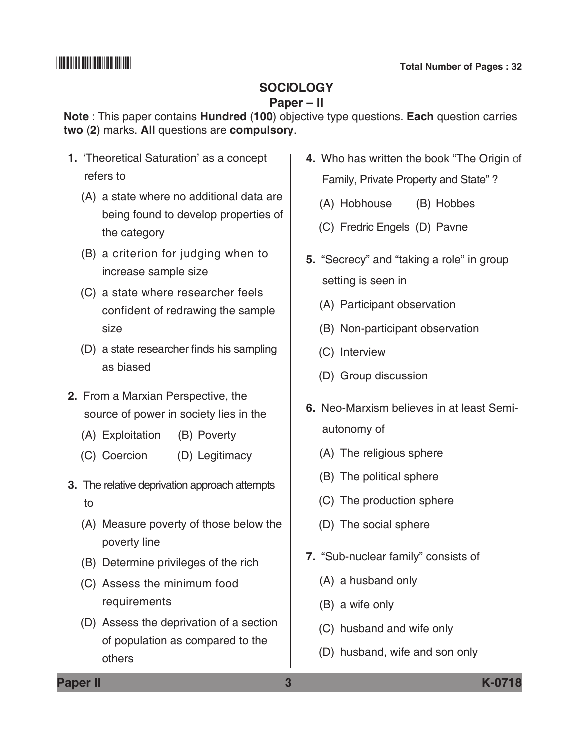## **Sociology**

## **Paper – II**

**Note** : This paper contains **Hundred** (**100**) objective type questions. **Each** question carries **two** (**2**) marks. **All** questions are **compulsory**.

- **1.** 'Theoretical Saturation' as a concept refers to
	- (A) a state where no additional data are being found to develop properties of the category
	- (B) a criterion for judging when to increase sample size
	- (C) a state where researcher feels confident of redrawing the sample size
	- (D) a state researcher finds his sampling as biased
- **2.** From a Marxian Perspective, the source of power in society lies in the
	- (A) Exploitation (B) Poverty
	- (C) Coercion (D) Legitimacy
- **3.** The relative deprivation approach attempts to
	- (A) Measure poverty of those below the poverty line
	- (B) Determine privileges of the rich
	- (C) Assess the minimum food requirements
	- (D) Assess the deprivation of a section of population as compared to the others
- **4.** Who has written the book "The Origin of Family, Private Property and State" ?
	- (A) Hobhouse (B) Hobbes
	- (C) Fredric Engels (D) Pavne
- **5.** "Secrecy" and "taking a role" in group setting is seen in
	- (A) Participant observation
	- (B) Non-participant observation
	- (C) Interview
	- (D) Group discussion
- **6.** Neo-Marxism believes in at least Semiautonomy of
	- (A) The religious sphere
	- (B) The political sphere
	- (C) The production sphere
	- (D) The social sphere
- **7.** "Sub-nuclear family" consists of
	- (A) a husband only
	- (B) a wife only
	- (C) husband and wife only
	- (D) husband, wife and son only

**Paper II 3 K-0718**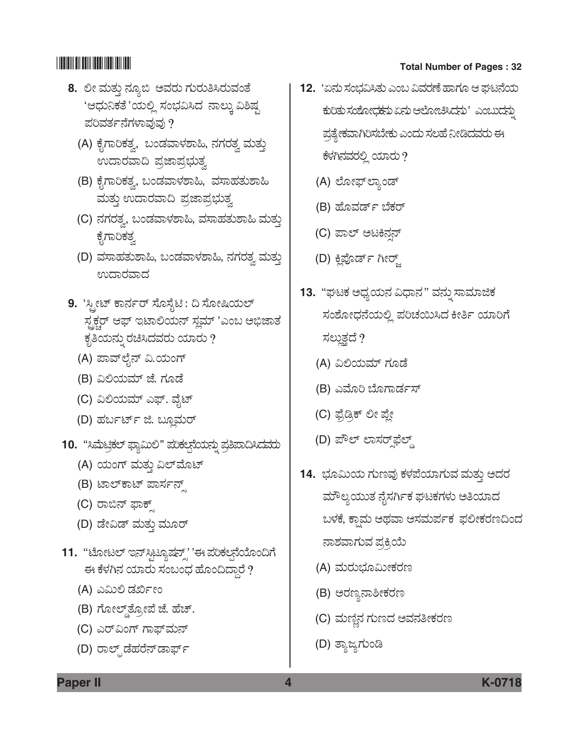- **8.** ಲೀ ಮತ್ತು ನ್ಯೂಬಿ ಅವರು ಗುರುತಿಸಿರುವಂತೆ 'ಆಧುನಿಕತೆ'ಯಲ್ಲಿ ಸಂಭವಿಸಿದ ನಾಲ್ಕು ವಿಶಿಷ್ಟ ಪರಿವರ್ತನೆಗಳಾವುವು ?
	- (A) ಕೈಗಾರಿಕತ್ವ, ಬಂಡವಾಳಶಾಹಿ, ನಗರತ್ವ ಮತ್ತು ಉದಾರವಾದಿ ಪ್ರಜಾಪ್ರಭುತ್ವ
	- (B) ಕೈಗಾರಿಕತ್ವ, ಬಂಡವಾಳಶಾಹಿ, ವಸಾಹತುಶಾಹಿ ಮತ್ತು ಉದಾರವಾದಿ ಪ್ರಜಾಪ್ರಭುತ್ವ
	- (C) ನಗರತ್ನ, ಬಂಡವಾಳಶಾಹಿ, ವಸಾಹತುಶಾಹಿ ಮತ್ತು ಕೈಗಾರಿಕತ್ವ
	- (D) ವಸಾಹತುಶಾಹಿ, ಬಂಡವಾಳಶಾಹಿ, ನಗರತ್ವ ಮತ್ತು ಉದಾರವಾದ
- 9. 'ಸ್ಟೀಟ್ ಕಾರ್ನರ್ ಸೊಸೈಟಿ : ದಿ ಸೋಷಿಯಲ್ ಸ್ಟಕ್ಚರ್ ಆಫ್ ಇಟಾಲಿಯನ್ ಸ್ಲಮ್ 'ಎಂಬ ಅಭಿಜಾತ ಕೃತಿಯನ್ನು ರಚಿಸಿದವರು ಯಾರು ?
	- (A) ಪಾವ್ಲೈನ್ ವಿ.ಯಂಗ್
	- (B) ವಿಲಿಯಮ್ ಜೆ. ಗೂಡೆ
	- (C) ವಿಲಿಯಮ್ ಎಫ್. ವೈಟ್
	- (D) ಹರ್ಬರ್ಟ್ ಜಿ. ಬ್ಲೂಮರ್
- 10. "ಸಿಮೆಟ್ರಿಕಲ್ ಫ್ಯಾಮಿಲಿ" ಪರಿಕಲ್ಪನೆಯನ್ನು ಪ್ರತಿಪಾದಿಸಿದವರು
	- (A) ಯಂಗ್ ಮತ್ತು ವಿಲ್*ಮೊ*ಟ್
	- (B) ಟಾಲ್ ಕಾಟ್ ಪಾರ್ಸನ್
	- (C) ರಾಬಿನ್ ಫಾಕ್
	- (D) ಡೇವಿಡ್ ಮತ್ತು ಮೂರ್
- 11. "ಟೋಟಲ್ ಇನ್ಸ್ಟಿಟ್ಯೂಷನ್ಸ್' 'ಈ ಪರಿಕಲನೆಯೊಂದಿಗೆ ಈ ಕೆಳಗಿನ ಯಾರು ಸಂಬಂಧ ಹೊಂದಿದ್ದಾರೆ ?
	- (A) ಎಮಿಲಿ ಡರ್ಖೀಂ
	- (B) ಗೋಲ್ಡ್ ತ್ಯೋಪೆ ಜೆ. ಹೆಚ್.
	- (C) ಎರ್ವಿಂಗ್ ಗಾಫ್*ಮನ್*
	- (D) ರಾಲ್ಪ್ ಡೆಹರೆನ್*ಡಾರ್ಫ್*
- \*K0718\* **Total Number of Pages : 32** 
	- **12.** 'ಏನು ಸಂಭವಿಸಿತು ಎಂಬ ವಿವರಣೆ ಹಾಗೂ ಆ ಘಟನೆಯ ಕುರಿತು ಸಂಶೋಧಕನು ಏನು ಆಲೋಚಿಸಿದನು 'ಎಂಬುದನ್ನು ಪ್ರತ್ಯೇಕವಾಗಿರಿಸಬೇಕು ಎಂದು ಸಲಹೆ ನೀಡಿದವರು ಈ ಕೆಳಗಿನವರಲ್ಲಿ ಯಾರು ?
		- (A) ಲೋಫ್ ಲ್ಯಾಂಡ್
		- (B) ಹೊವರ್ಡ್ ಬೆಕರ್
		- (C) ಪಾಲ್ ಅಟಕಿನ್ಸನ್
		- (D) ಕ್ಲಿಪೊರ್ಡ್ ಗೀರ್
	- 13. "ಘಟಕ ಅಧ್ಯಯನ ವಿಧಾನ" ವನ್ನು ಸಾಮಾಜಿಕ ಸಂಶೋಧನೆಯಲ್ಲಿ ಪರಿಚಯಿಸಿದ ಕೀರ್ತಿ ಯಾರಿಗೆ ಸಲ್ಲುತ್ವದೆ ?
		- (A) ವಿಲಿಯಮ್ ಗೂಡೆ
		- (B) ಎಮೊರಿ ಬೊಗಾರ್ಡಸ್
		- (C) ಫ್ರೆಡ್ರಿಕ್ ಲೀ ಪ್ಲೇ
		- (D) ಪೌಲ್ ಲಾಸರ್@ಭೆಲ್ಡ್
	- 14. ಭೂಮಿಯ ಗುಣವು ಕಳಪೆಯಾಗುವ ಮತ್ತು ಅದರ ಮೌಲ್ಯಯುತ ನೈಸರ್ಗಿಕ ಘಟಕಗಳು ಅತಿಯಾದ ಬಳಕೆ, ಕ್ಷಾಮ ಅಥವಾ ಅಸಮರ್ಪಕ ಫಲೀಕರಣದಿಂದ ನಾಶವಾಗುವ ಪ್ರಕ್ರಿಯೆ
		- (A) ಮರುಭೂಮೀಕರಣ
		- (B) ಅರಣ್ಯನಾಶೀಕರಣ
		- (C) ಮಣ್ಣಿನ ಗುಣದ ಅವನತೀಕರಣ
		- (D) ತ್ಯಾಜ್ಯಗುಂಡಿ

**Paper II 4 K-0718**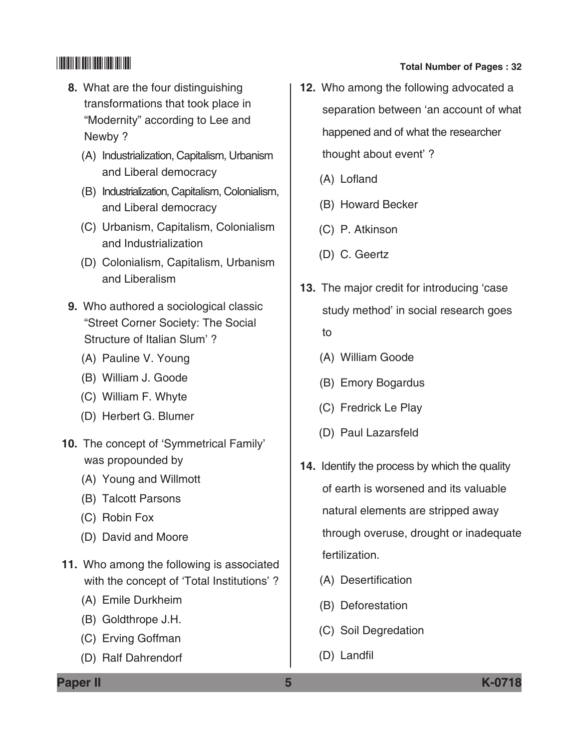- **8.** What are the four distinguishing transformations that took place in "Modernity" according to Lee and Newby ?
	- (A) Industrialization, Capitalism, Urbanism and Liberal democracy
	- (B) Industrialization, Capitalism, colonialism, and Liberal democracy
	- (C) Urbanism, capitalism, colonialism and Industrialization
	- (D) Colonialism, Capitalism, Urbanism and Liberalism
- **9.** Who authored a sociological classic "Street Corner Society: The Social Structure of Italian Slum'?
	- (A) Pauline V. Young
	- (B) William J. Goode
	- (C) William F. Whyte
	- (D) Herbert G. Blumer
- 10. The concept of 'Symmetrical Family' was propounded by
	- (A) Young and Willmott
	- (B) Talcott Parsons
	- (C) Robin Fox
	- (D) David and Moore
- **11.** Who among the following is associated with the concept of 'Total Institutions' ?
	- (A) Emile Durkheim
	- (B) Goldthrope J.H.
	- (C) Erving Goffman
	- (D) Ralf Dahrendorf
- 
- **12.** Who among the following advocated a separation between 'an account of what happened and of what the researcher thought about event' ?
	- (A) Lofland
	- (B) Howard Becker
	- (C) P. Atkinson
	- (D) C. Geertz
- **13.** The major credit for introducing 'case study method' in social research goes
	- to
	- (A) William Goode
	- (B) Emory Bogardus
	- (C) Fredrick Le play
	- (D) Paul Lazarsfeld
- **14.** Identify the process by which the quality of earth is worsened and its valuable natural elements are stripped away through overuse, drought or inadequate fertilization.
	- (A) Desertification
	- (B) Deforestation
	- (C) Soil Degredation
	- (D) Landfil

**Paper II 5 K-0718**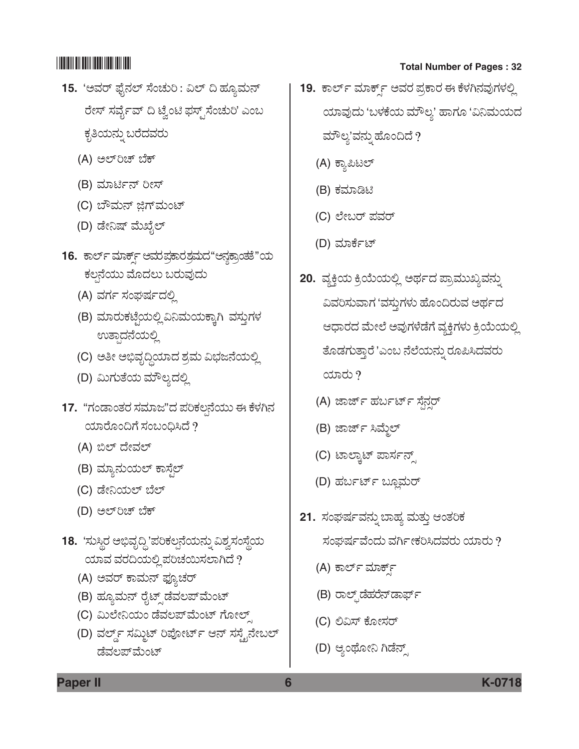- 15. 'ಅವರ್ ಫೈನಲ್ ಸೆಂಚುರಿ : ವಿಲ್ ದಿ ಹ್ಯೂಮನ್ ರೇಸ್ ಸರ್ವೈವ್ ದಿ ಟ್ವೆಂಟಿ ಫಸ್ಟ್ ಸೆಂಚುರಿ' ಎಂಬ ಕೃತಿಯನ್ನು ಬರೆದವರು
	- (A) ಅಲ್**ರಿಚ್** ಬೆಕ್
	- (B) ಮಾರ್ಟಿನ್ ರೀಸ್
	- (C) ಬೌಮನ್ ಜಿಗ್**ಮಂಟ್**
	- (D) ಡೇನಿಷ್ ಮೆಖೈಲ್
- 16. ಕಾರ್ಲ್ ಮಾರ್ಕ್ಸ್ ಆಮರಪ್ಪಾರಶಮದ"ಆನ್ಞಕ್ರಾಂತತೆ"ಯ ಕಲ್ಪನೆಯು ಮೊದಲು ಬರುವುದು
	- (A) ವರ್ಗ ಸಂಘರ್ಷದಲ್ಲಿ
	- (B) ಮಾರುಕಟ್ಟೆಯಲ್ಲಿ ವಿನಿಮಯಕ್ಕಾಗಿ ವಸ್ತುಗಳ ಉತ್ಪಾದನೆಯಲ್ಲಿ
	- (C) ಅತೀ ಅಭಿವೃದ್ಧಿಯಾದ ಶ್ರಮ ವಿಭಜನೆಯಲ್ಲಿ
	- (D) ಮಿಗುತೆಯ ಮೌಲ್ಯದಲ್ಲಿ
- 17. "ಗಂಡಾಂತರ ಸಮಾಜ"ದ ಪರಿಕಲನೆಯು ಈ ಕೆಳಗಿನ ಯಾರೊಂದಿಗೆ ಸಂಬಂಧಿಸಿದೆ  $?$ 
	- (A) ಬಿಲ್ ದೇವಲ್
	- (B) ಮ್ಯಾನುಯಲ್ ಕಾಸ್ಟೆಲ್
	- (C) ಡೇನಿಯಲ್ ಬೆಲ್
	- (D) ಅಲ್**ರಿಚ್** ಬೆಕ್
- 18. *'*ಸುಸ್ಥಿರ ಅಭಿವೃದ್ಧಿ'ಪರಿಕಲ್ಪನೆಯನ್ನು ವಿಶ್ವಸಂಸ್ಥೆಯ  $\alpha$ ಯಾವ ವರದಿಯಲ್ಲಿ ಪರಿಚಯಿಸಲಾಗಿದೆ ?
	- (A) ಅವರ್ ಕಾಮನ್ ಫ್ಯೂಚರ್
	- (B) ಹ್ಯೂಮನ್ ರೈಟ್ಸ್ ಡೆವಲಪ್*ಮೆಂಟ್*
	- (C) ಮಿಲೇನಿಯಂ ಡೆವಲಪ್*ಮೆಂಟ್ ಗೋಲ್*
	- (D) ವರ್ಲ್ಡ್ ಸಮ್ಮಿಟ್ ರಿಪೋರ್ಟ್ ಆನ್ ಸಸ್ಟೈನೇಬಲ್ ಡೆವಲಪ್*ಮೆಂ*ಟ್

- **19.** ಕಾರ್ಲ್ ಮಾರ್ಕ್ಸ್ ಅವರ ಪ್ರಕಾರ ಈ ಕೆಳಗಿನವುಗಳಲ್ಲಿ ಯಾವುದು 'ಬಳಕೆಯ ಮೌಲ್ಯ' ಹಾಗೂ 'ವಿನಿಮಯದ ಮೌಲ್ಯ'ವನ್ನು ಹೊಂದಿದೆ  $\overline{?}$ 
	- (A) ಕ್ಯಾಪಿಟಲ್
	- (B) ಕಮಾಡಿಟಿ
	- (C) ಲೇಬರ್ ಪವರ್
	- (D) ಮಾರ್ಕೆಟ್
- **20.** ವ್ಯಕ್ತಿಯ ಕ್ರಿಯೆಯಲ್ಲಿ ಅರ್ಥದ ಪ್ರಾಮುಖ್ಯವನ್ನು ವಿವರಿಸುವಾಗ 'ವಸ್ತುಗಳು ಹೊಂದಿರುವ ಅರ್ಥದ ಆಧಾರದ ಮೇಲೆ ಅವುಗಳೆಡೆಗೆ ವ್ಯಕ್ತಿಗಳು ಕ್ರಿಯೆಯಲ್ಲಿ ತೊಡಗುತ್ತಾರೆ 'ಎಂಬ ನೆಲೆಯನ್ನು ರೂಪಿಸಿದವರು  $\cos \theta$ 
	- (A) ಜಾರ್ಜ್ ಹರ್ಬರ್ಟ್ ಸೆನ್ಷರ್
	- (B) ಜಾರ್ಜ್ ಸಿಮ್ಮೆಲ್
	- (C) ಟಾಲ್ಕಾಟ್ ಪಾರ್ಸನ್ಸ್
	- (D) ಹರ್ಬರ್ಟ್ ಬ್ಲೂಮರ್
- 21. ಸಂಘರ್ಷವನ್ನು ಬಾಹ್ಯ ಮತ್ತು ಆಂತರಿಕ ಸಂಘರ್ಷವೆಂದು ವರ್ಗೀಕರಿಸಿದವರು ಯಾರು ?
	- (A) ಕಾರ್ಲ್ ಮಾರ್ಕ್
	- (B) ರಾಲ್ಪ್*ಡೆ*ಹರೆನ್*ಡಾರ್ಫ್*
	- (C) ಲಿವಿಸ್ ಕೋಸರ್
	- (D) ಆ್ಯಂಥೋನಿ ಗಿಡೆನ್ಸ್

**Paper II 6 K-0718**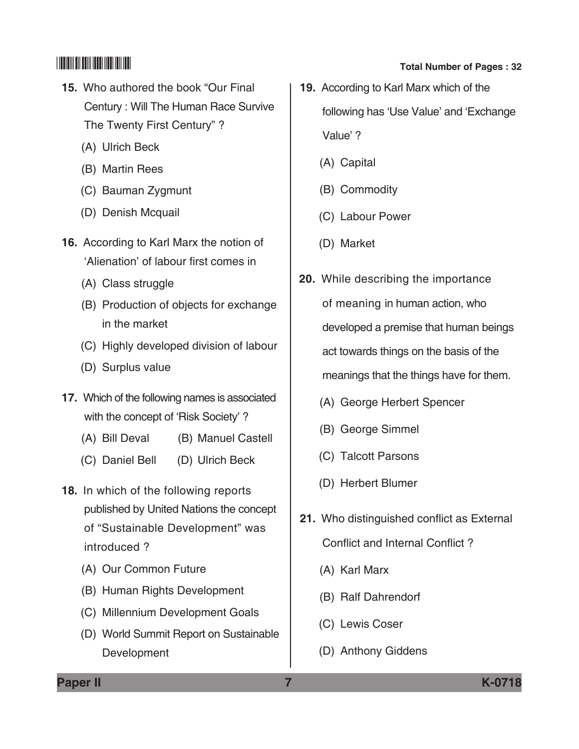- **15.** Who authored the book "Our Final Century : Will The Human Race Survive The Twenty First Century" ?
	- (A) Ulrich Beck
	- (B) Martin Rees
	- (C) Bauman Zygmunt
	- (D) Denish Mcquail
- **16.** According to Karl Marx the notion of 'Alienation' of labour first comes in
	- (A) Class struggle
	- (B) Production of objects for exchange in the market
	- (C) Highly developed division of labour
	- (D) Surplus value
- **17.** Which of the following names is associated with the concept of 'Risk Society' ?
	- (A) Bill Deval (B) Manuel Castell
	- (C) Daniel Bell (D) Ulrich Beck
- **18.** In which of the following reports published by United Nations the concept of "Sustainable Development" was introduced ?
	- (A) Our Common Future
	- (B) Human Rights Development
	- (C) Millennium Development Goals
	- (D) World Summit Report on Sustainable Development
- \*K0718\* **Total Number of Pages : 32**
	- **19.** According to Karl Marx which of the following has 'Use Value' and 'Exchange' value' ?
		- (A) Capital
		- (B) Commodity
		- (C) Labour Power
		- (D) Market
	- **20.** While describing the importance of meaning in human action, who developed a premise that human beings act towards things on the basis of the meanings that the things have for them.
		- (A) George Herbert Spencer
		- (B) George Simmel
		- (C) Talcott Parsons
		- (D) Herbert Blumer
	- **21.** Who distinguished conflict as External Conflict and Internal Conflict?
		- (A) Karl Marx
		- (B) Ralf Dahrendorf
		- (C) Lewis Coser
		- (D) Anthony Giddens

**Paper II 7 K-0718**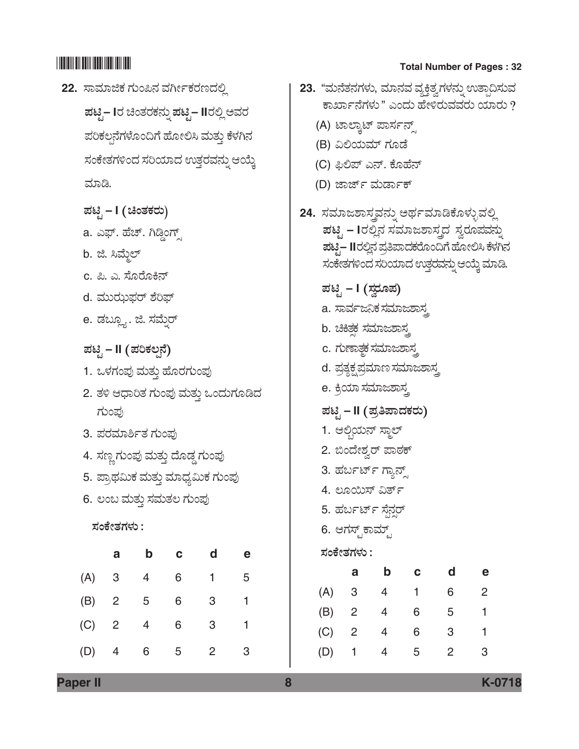22. ಸಾಮಾಜಿಕ ಗುಂಪಿನ ವರ್ಗೀಕರಣದಲ್ಲಿ  $\vec{a}$ ಟಿ. – III ಚಿಂತರಕನ್ನು ಪಟ್ಟಿ – IIರಲ್ಲಿ ಅವರ ಪರಿಕಲ್ಪನೆಗಳೊಂದಿಗೆ ಹೋಲಿಸಿ ಮತ್ತು ಕೆಳಗಿನ ಸಂಕೇತಗಳಿಂದ ಸರಿಯಾದ ಉತ್ತರವನ್ನು ಆಯ್ಕೆ ಮಾಡಿ.  $\vec{B}$ ಟೈ – I  $($  ಚಿಂತಕರು) a. ಎಫ್. ಹೆಚ್. ಗಿಡ್ಡಿಂಗ್ಸ್ b. ಜಿ. ಸಿಮ್ಮೆಲ್ c. ಪಿ. ಎ. ಸೊರೊಕಿನ್ d. ಮುಝಫರ್ ಶೆರಿಫ್ e. ಡಬ್ಲ್ಯೂ. ಜಿ. ಸಮ್ನೆರ್  $\vec{E}$ ಪಟೈ – II *(ಪ*ರಿಕಲ್ಪನೆ) 1. ಒಳಗಂಪು ಮತ್ತು ಹೊರಗುಂಪು 2. ತಳಿ ಆಧಾರಿತ ಗುಂಪು ಮತ್ತು ಒಂದುಗೂಡಿದ ಗುಂಪು 3. ಪರಮಾರ್ಶಿತ ಗುಂಪು 4. ಸಣ್ಣಗುಂಪು ಮತ್ತು ದೊಡ್ಡ ಗುಂಪು 5. ಪ್ರಾಥಮಿಕ ಮತ್ತು ಮಾಧ್ಯಮಿಕ ಗುಂಪು 6. ಲಂಬ ಮತ್ತು ಸಮತಲ ಗುಂಪು  $\vec{z}$ ಂಕೇತಗಳು : **a b c d e** (A) 3 4 6 1 5 (B) 2 5 6 3 1 (C) 2 4 6 3 1

(D) 4 6 5 2 3

# \*K0718\* **Total Number of Pages : 32**

|                       |                          |                                     |                                                                                                                                           |                | 23. "ಮನೆತನಗಳು, ಮಾನವ ವ್ಯಕ್ತಿತ್ವಗಳನ್ನು ಉತ್ಪಾದಿಸುವ       |  |
|-----------------------|--------------------------|-------------------------------------|-------------------------------------------------------------------------------------------------------------------------------------------|----------------|-------------------------------------------------------|--|
|                       |                          |                                     |                                                                                                                                           |                | ಕಾರ್ಖಾನೆಗಳು " ಎಂದು ಹೇಳಿರುವವರು ಯಾರು ?                  |  |
|                       |                          | (A) ಟಾಲ್ಕಾಟ್ ಪಾರ್ಸನ್ಸ್              |                                                                                                                                           |                |                                                       |  |
|                       |                          | (B) ವಿಲಿಯಮ್ ಗೂಡೆ                    |                                                                                                                                           |                |                                                       |  |
|                       |                          | (C) ಫಿಲಿಪ್ ಎನ್. ಕೊಹೆನ್              |                                                                                                                                           |                |                                                       |  |
|                       |                          | (D) ಜಾರ್ಜ್ ಮರ್ಡಾಕ್                  |                                                                                                                                           |                |                                                       |  |
|                       |                          |                                     | 24. ಸಮಾಜಶಾಸ್ತ್ರವನ್ನು ಅರ್ಥಮಾಡಿಕೊಳ್ಳುವಲ್ಲಿ<br><b>ಪಟ್ಸಿ – I</b> ರಲ್ಲಿನ ಸಮಾಜಶಾಸ್ತ್ರದ  ಸ್ವರೂಪವನ್ನು<br>ಸಂಕೇತಗಳಿಂದ ಸರಿಯಾದ ಉತ್ತರವನ್ನು ಆಯ್ತೆ ಮಾಡಿ. |                | <b>ಪಟ್ಟ– II</b> ರಲ್ಲಿನ ಪ್ರತಿಪಾದಕರೊಂದಿಗೆ ಹೋಲಿಸಿ ಕೆಳಗಿನ |  |
|                       | ಪಟ್ಟಿ – I (ಸ್ವರೂಪ)       |                                     |                                                                                                                                           |                |                                                       |  |
|                       |                          | a. ಸಾರ್ವಜನಿಕ ಸಮಾಜಶಾಸ್ತ್ರ            |                                                                                                                                           |                |                                                       |  |
|                       |                          | b. ಚ <del>ಿಕಿತ್</del> ದ ಸಮಾಜಶಾಸ್ತ್ರ |                                                                                                                                           |                |                                                       |  |
|                       |                          | c. ಗುಣಾ <i>ತ್ಥ</i> ಕ ಸಮಾಜಶಾಸ್ತ್ರ    |                                                                                                                                           |                |                                                       |  |
|                       |                          | d. ಪ್ರತ್ಯಕ್ಷಪ್ರಮಾಣ ಸಮಾಜಶಾಸ್ತ್ರ      |                                                                                                                                           |                |                                                       |  |
|                       |                          | e. ಕ್ರಿಯಾ ಸಮಾಜಶಾಸ್ತ್ರ               |                                                                                                                                           |                |                                                       |  |
|                       |                          | ಪಟ್ಟಿ – II (ಪ್ರತಿಪಾದಕರು)            |                                                                                                                                           |                |                                                       |  |
|                       | 1. ಆಲ್ಗಿಯನ್ ಸ್ಮಾಲ್       |                                     |                                                                                                                                           |                |                                                       |  |
|                       |                          | 2. ಬಿಂದೇಶ್ವರ್ ಪಾಠಕ್                 |                                                                                                                                           |                |                                                       |  |
|                       |                          | 3. ಹರ್ಬರ್ಟ್ ಗ್ಯಾನ್ಸ್                |                                                                                                                                           |                |                                                       |  |
|                       | 4. ಲೂಯಿಸ್ ವಿರ್ತ್         |                                     |                                                                                                                                           |                |                                                       |  |
| 5. ಹರ್ಬರ್ಟ್ ಸ್ಪೆನ್ಸರ್ |                          |                                     |                                                                                                                                           |                |                                                       |  |
|                       | 6. ಆಗಸ್ಟ್ ಕಾಮ್ಟ್         |                                     |                                                                                                                                           |                |                                                       |  |
| ಸಂಕೇತಗಳು :            |                          |                                     |                                                                                                                                           |                |                                                       |  |
|                       | a                        | b                                   | C                                                                                                                                         | d              | e                                                     |  |
| (A)                   | $\mathbf{3}$             | 4                                   | 1                                                                                                                                         | 6              | 2                                                     |  |
| (B) 2                 |                          | $\overline{4}$                      | 6                                                                                                                                         | 5              | 1                                                     |  |
| (C)                   | $\overline{\phantom{a}}$ | $\overline{4}$                      | 6                                                                                                                                         | 3              | 1                                                     |  |
| (D)                   | $\mathbf{1}$             | 4                                   | 5                                                                                                                                         | $\overline{2}$ | 3                                                     |  |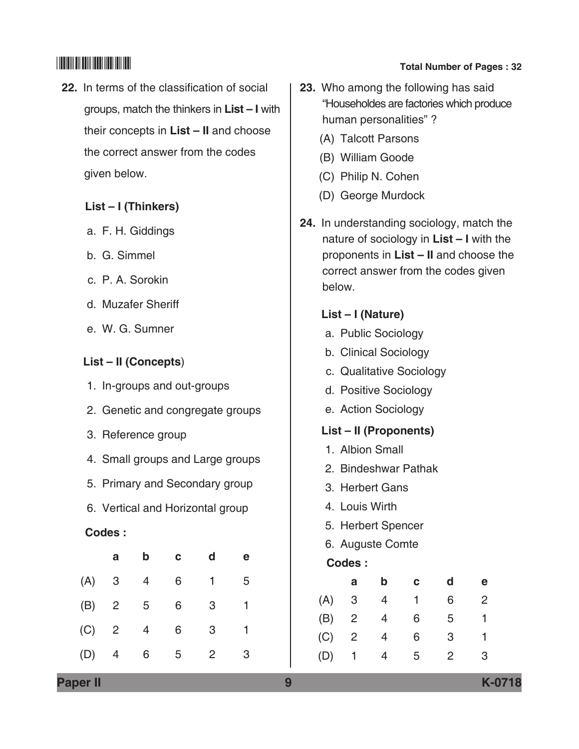**22.** In terms of the classification of social groups, match the thinkers in **List – I** with their concepts in **List – II** and choose the correct answer from the codes given below.

## **List – I (Thinkers)**

- a. F. H. Giddings
- b. G. Simmel
- c. P. A. Sorokin
- d. Muzafer Sheriff
- e. W. G. Sumner

## **List – II (Concepts**)

- 1. In-groups and out-groups
- 2. Genetic and congregate groups
- 3. Reference group
- 4. Small groups and Large groups
- 5. Primary and Secondary group
- 6. Vertical and Horizontal group

## **Codes :**

|     | a                       | b | C | d | е |
|-----|-------------------------|---|---|---|---|
| (A) | 3                       | 4 | 6 |   | 5 |
| (B) | $\overline{\mathbf{c}}$ | 5 | 6 | 3 | 1 |
| (C) | $\overline{\mathbf{c}}$ | 4 | 6 | 3 |   |
| (D) | 4                       | 6 | 5 | 2 | 3 |

# $\begin{array}{|c|c|c|c|}\hline \text{small} & \text{small} & \text{small} \end{array}$  Total Number of Pages : 32

- **23.** Who among the following has said "Householdes are factories which produce human personalities" ?
	- (A) Talcott Parsons
	- (B) William Goode
	- (C) Philip N. Cohen
	- (D) George Murdock
- **24.** In understanding sociology, match the nature of sociology in **List – I** with the proponents in **List – II** and choose the correct answer from the codes given below.

### **List – I (Nature)**

- a. Public Sociology
- b. Clinical Sociology
- c. Qualitative Sociology
- d. Positive Sociology
- e. Action Sociology

## **List – II (Proponents)**

- 1. Albion Small
- 2. Bindeshwar Pathak
- 3. Herbert Gans
- 4. Louis Wirth
- 5. Herbert Spencer
- 6. Auguste Comte
- **Codes :**

|     | а              | b | с | d | е |
|-----|----------------|---|---|---|---|
| (A) | 3              | 4 |   | 6 | 2 |
| (B) | $\overline{2}$ | 4 | 6 | 5 |   |
| (C) | $\overline{2}$ | 4 | 6 | 3 |   |
| (D) | 1              |   | 5 | 2 | 3 |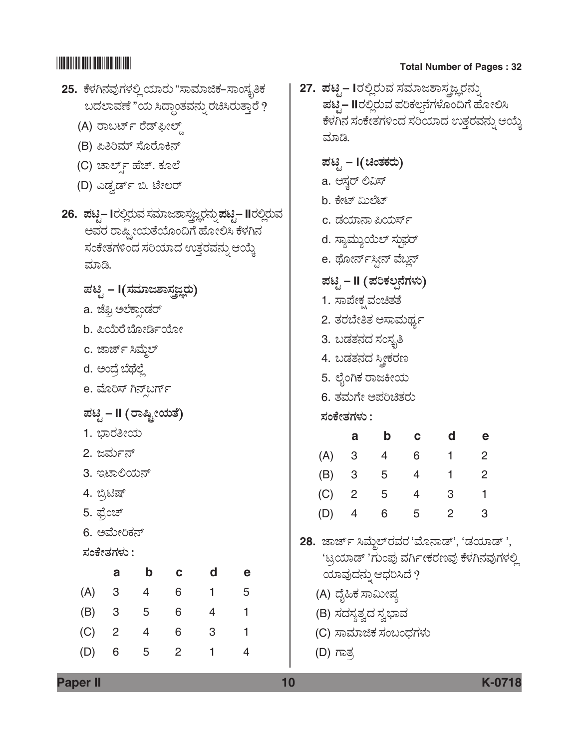| 25.  ಕೆಳಗಿನವುಗಳಲ್ಲಿ ಯಾರು "ಸಾಮಾಜಿಕ–ಸಾಂಸ್ಕೃತಿಕ                               | 27.  ಪಟೃ– Iರಲ್ಲಿರುವ ಸಮಾಜಶಾಸ್ತ್ರಜ್ಞರನ್ನು                  |
|----------------------------------------------------------------------------|----------------------------------------------------------|
| ಬದಲಾವಣೆ "ಯ ಸಿದ್ಧಾಂತವನ್ನು ರಚಿಸಿರುತ್ತಾರೆ ?                                   | <b>ಪಟ್ಪ– II</b> ರಲ್ಲಿರುವ ಪರಿಕಲ್ಪನೆಗಳೊಂದಿಗೆ ಹೋಲಿಸಿ        |
| (A) ರಾಬರ್ಟ್ ರೆಡ್ಫೀಲ್ಡ್                                                     | ಕೆಳಗಿನ ಸಂಕೇತಗಳಿಂದ ಸರಿಯಾದ ಉತ್ತರವನ್ನು ಆಯ್ಕೆ                |
| (B) ಪಿತಿರಿಮ್ ಸೊರೊಕಿನ್                                                      | ಮಾಡಿ.                                                    |
| (C) ಚಾರ್ಲ್ಡ್ ಹೆಚ್. ಕೂಲೆ                                                    | ಪಟಿ <sub>:</sub> – I(ಚಿಂತಕರು)                            |
| (D) ಎಡ್ವರ್ಡ್ ಬಿ. ಟೇಲರ್                                                     | a. ಆಸ್ಚರ್ ಲಿವಿಸ್                                         |
|                                                                            | b. ಕೇಟ್ ಮಿಲೆಟ್                                           |
| 26.  ಪಟ್ಟಿ– Iರಲ್ಲಿರುವ ಸಮಾಜಶಾಸ್ತ್ರಜ್ಞರನ್ನು ಪಟ್ಟಿ– IIರಲ್ಲಿರುವ                | c. ಡಯಾನಾ ಪಿಯರ್ಸ್                                         |
| ಅವರ ರಾಷ್ಟ್ರೀಯತೆಯೊಂದಿಗೆ ಹೋಲಿಸಿ ಕೆಳಗಿನ<br>ಸಂಕೇತಗಳಿಂದ ಸರಿಯಾದ ಉತ್ತರವನ್ನು ಆಯ್ಕೆ | d. ಸ್ಯಾಮ್ಯುಯೆಲ್ ಸ್ಥುಫರ್                                  |
| ಮಾಡಿ.                                                                      | e. ಥೋರ್ನ×್ಬೀನ್ ವೆಬ್ಲನ್                                   |
|                                                                            | ಪಟಿೖ – II (ಪರಿಕಲ್ಪನೆಗಳು)                                 |
| ಪಟ್ಟಿ – I(ಸಮಾಜಶಾಸ್ತ್ರಜ್ಞರು)                                                | 1. ಸಾಪೇಕ್ಷ್ಮವಂಚಿತತೆ                                      |
| a. ಜೆಫ್ರಿ ಅಲೆಕ್ಷಾಂಡರ್                                                      | 2. ತರಬೇತಿತ ಅಸಾಮರ್ಥ್ಯ                                     |
| b. ಪಿಯೆರೆ ಬೋರ್ಡಿಯೋ                                                         | 3. ಬಡತನದ ಸಂಸ್ಥತಿ                                         |
| c. ಜಾರ್ಜ್ ಸಿಮ್ಮೆಲ್                                                         | 4. ಬಡತನದ ಸ್ತ್ರೀಕರಣ                                       |
| d. ಅಂದ್ರೆ ಬೆಥೆಲ್ಲೆ                                                         | 5. ಲೈಂಗಿಕ ರಾಜಕೀಯ                                         |
| e. ಮೊರಿಸ್ ಗಿನ್ಸ್ <b>ಬರ್ಗ್</b>                                              | 6. ತಮಗೇ ಅಪರಿಚಿತರು                                        |
| ಪಟಿೖ – II (ರಾಷ್ಟ್ರೀಯತೆ)                                                    | ಸಂಕೇತಗಳು :                                               |
| 1. ಭಾರತೀಯ                                                                  | b c<br>d<br>a<br>е                                       |
| 2. ಜರ್ಮನ್                                                                  | (A) 3 4 6 1<br>2                                         |
| 3. ಇಟಾಲಿಯನ್                                                                | (B) 3 5 4 1<br>2                                         |
| 4. ಬ್ರಿಟಿಷ್                                                                | (C)<br>$2^{\circ}$<br>$5^{\circ}$<br>$4 \quad$<br>3<br>1 |
| 5. ಫ್ರೆಂಚ್                                                                 | (D)<br>6<br>5<br>$\overline{2}$<br>3<br>4                |
| 6. ಅಮೇರಿಕನ್                                                                | 28. ಜಾರ್ಜ್ ಸಿಮ್ಮೆಲ್ ರವರ 'ಮೊನಾಡ್', 'ಡಯಾಡ್',               |
| ಸಂಕೇತಗಳು :                                                                 | 'ಟ್ರಯಾಡ್ 'ಗುಂಪು ವರ್ಗೀಕರಣವು ಕೆಳಗಿನವುಗಳಲ್ಲಿ                |
| $\mathbf b$<br>d<br>$\mathbf c$<br>a<br>e                                  | ಯಾವುದನ್ನು ಆಧರಿಸಿದೆ ?                                     |
| 3<br>6 <sup>1</sup><br>(A)<br>$4\overline{ }$<br>$1 -$<br>5                | (A) ದೈಹಿಕ ಸಾಮೀಪ್ಯ                                        |
| (B)<br>$3\qquad 5$<br>$6\overline{6}$<br>$4\overline{ }$<br>1              | (B) ಸದಸ್ಯತ್ವದ ಸ್ವಭಾವ                                     |
| 6<br>(C)<br>$\overline{2}$<br>4<br>3<br>1                                  | (C) ಸಾಮಾಜಿಕ ಸಂಬಂಧಗಳು                                     |
| $\overline{2}$<br>$\overline{4}$<br>(D)<br>6<br>5<br>1                     | (D) ಗಾತ್ರ                                                |
|                                                                            |                                                          |

**Paper II 10 K-0718**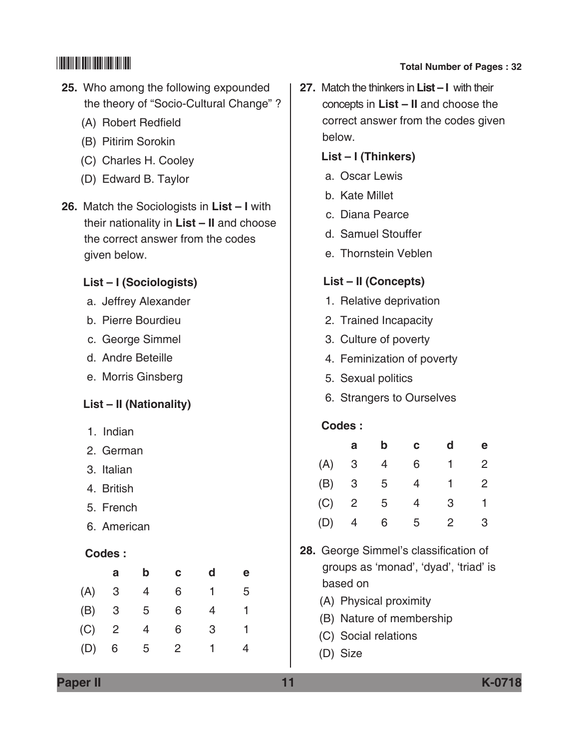# $\begin{array}{|c|c|c|c|}\hline \text{small} & \text{small} & \text{small} \end{array}$  Total Number of Pages : 32

- **25.** Who among the following expounded the theory of "Socio-Cultural Change" ?
	- (A) Robert Redfield
	- (B) Pitirim Sorokin
	- (C) Charles H. Cooley
	- (D) Edward B. Taylor
- **26.** Match the Sociologists in **List I** with their nationality in **List – II** and choose the correct answer from the codes given below.

### **List – I (Sociologists)**

- a. Jeffrey Alexander
- b. Pierre Bourdieu
- c. George Simmel
- d. Andre Beteille
- e. Morris Ginsberg

## **List – II (Nationality)**

- 1. Indian
- 2. German
- 3. Italian
- 4. British
- 5. French
- 6. American

### **Codes :**

|     | a              | b | с | d | е |
|-----|----------------|---|---|---|---|
| (A) | 3              | 4 | 6 | 1 | 5 |
| (B) | 3              | 5 | 6 | 4 |   |
| (C) | $\overline{2}$ | 4 | 6 | 3 |   |
| (D) | 6              | 5 | 2 |   | 4 |
|     |                |   |   |   |   |

**27.** Match the thinkers in **List – I** with their concepts in **List – II** and choose the correct answer from the codes given below.

### **List – I (Thinkers)**

- a. Oscar Lewis
- b. Kate Millet
- c. Diana Pearce
- d. Samuel stouffer
- e. Thornstein Veblen

### **List – II (Concepts)**

- 1. Relative deprivation
- 2. Trained Incapacity
- 3. culture of poverty
- 4. Feminization of poverty
- 5. Sexual politics
- 6. Strangers to Ourselves

### **Codes :**

|     | а              | b | с | d | $\mathbf e$    |
|-----|----------------|---|---|---|----------------|
| (A) | 3              | 4 | 6 | 1 | $\overline{2}$ |
| (B) | 3              | 5 | 4 |   | $\overline{2}$ |
| (C) | $\overline{2}$ | 5 | 4 | 3 |                |
| (D) | 4              | 6 | 5 | 2 | 3              |

- **28.** George Simmel's classification of groups as 'monad', 'dyad', 'triad' is based on
	- (A) Physical proximity
	- (B) Nature of membership
	- (C) Social relations
	- (D) Size

**Paper II 11 K-0718**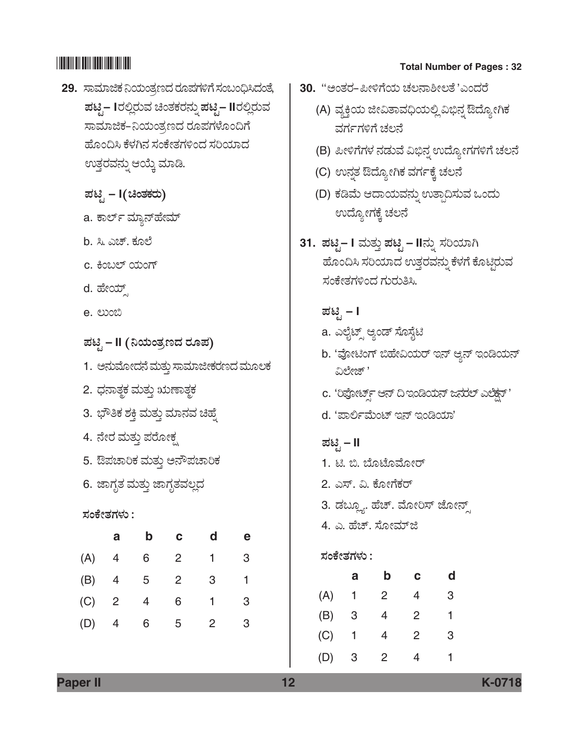- **29.** ಸಾಮಾಜಿಕ ನಿಯಂತ್ರಣದ ರೂಪಗಳಿಗೆ ಸಂಬಂಧಿಸಿದಂತೆ,  $\vec{u}$ ಪಟೈ – Iರಲ್ಲಿರುವ ಚಿಂತಕರನ್ನು ಪಟೈ – IIರಲ್ಲಿರುವ ಸಾಮಾಜಿಕ–ನಿಯಂತ್ರಣದ ರೂಪಗಳೊಂದಿಗೆ ಹೊಂದಿಸಿ ಕೆಳಗಿನ ಸಂಕೇತಗಳಿಂದ ಸರಿಯಾದ ಉತ್ತರವನ್ನು ಆಯ್ಕೆ ಮಾಡಿ.
	- *±Üqr*  **I***(bíñÜPÜÃÜá)*
	- a. ಕಾರ್ಲ್ ಮ್ಯಾನ್**ಹೇಮ್**
	- b. ಸಿ. ಎಚ್. ಕೂಲೆ
	- c. ಕಿಂಬಲ್ ಯಂಗ್
	- d. ಹೇಯ್
	- e.  $\omega$ on
	- *±Üqr*  **II** *(¯¿áíñÜÅ|¨Ü ÃÜã±Ü)*
	- 1. ಆನುಮೋದನೆ ಮತ್ತು ಸಾಮಾಜೀಕರಣದ ಮೂಲಕ
	- 2. ಧನಾತ್ಮಕ ಮತ್ತು ಋಣಾತ್ಮಕ
	- 3. ಭೌತಿಕ ಶಕ್ತಿ ಮತ್ತು ಮಾನವ ಚಿಹ್ನೆ
	- 4. ನೇರ ಮತ್ತು ಪರೋಕ್ಷ
	- 5. ಔಪಚಾರಿಕ ಮತ್ತು ಅನೌಪಚಾರಿಕ
	- 6. ಜಾಗೃತ ಮತ್ತು ಜಾಗೃತವಲ್ಲದ

## *ÓÜíPæàñÜWÜÙÜá :*

|     | a              | b              | С              | d            | е |
|-----|----------------|----------------|----------------|--------------|---|
| (A) | 4              | 6              | $\overline{2}$ | 1            | 3 |
| (B) | 4              | 5 <sup>5</sup> | $\overline{2}$ | 3            |   |
| (C) | $\overline{2}$ | 4              | 6              | 1            | 3 |
| (D) | $\overline{4}$ | 6              | 5              | $\mathbf{2}$ | 3 |

# \*K0718\* **Total Number of Pages : 32**

- **30. '**'ಅಂತರ–ಪೀಳಿಗೆಯ ಚಲನಾಶೀಲತೆ 'ಎಂದರೆ
	- (A) ವ್ಯಕ್ತಿಯ ಜೀವಿತಾವಧಿಯಲ್ಲಿ ವಿಭಿನ್ನ ಔದ್ಯೋಗಿಕ ವರ್ಗಗಳಿಗೆ ಚಲನೆ
	- (B) ಪೀಳಿಗೆಗಳ ನಡುವೆ ವಿಭಿನ್ನ ಉದ್ಯೋಗಗಳಿಗೆ ಚಲನೆ
	- (C) ಉನ್ನತ ಔದ್ಯೋಗಿಕ ವರ್ಗಕ್ಕೆ ಚಲನೆ
	- (D) ಕಡಿಮೆ ಆದಾಯವನ್ನು ಉತ್ಪಾದಿಸುವ ಒಂದು ಉದ್ಯೋಗಕ್ಕೆ ಚಲನೆ
- $31.$  ಪಟ್ಟಿ– I ಮತ್ತು ಪಟ್ಟಿ IIನ್ನು ಸರಿಯಾಗಿ ಹೊಂದಿಸಿ ಸರಿಯಾದ ಉತ್ತರವನ್ನು ಕೆಳಗೆ ಕೊಟ್ಟಿರುವ ಸಂಕೇತಗಳಿಂದ ಗುರುತಿಸಿ.
	- *±Üqr*  **I**
	- a. ಎಲೈಟ್ಸ್ ಆ್ಯಂಡ್ ಸೊಸೈಟಿ
	- b. 'ವೋಟಿಂಗ್ ಬಿಹೇವಿಯರ್ ಇನ್ ಆನ್ ಇಂಡಿಯನ್ ವಿಲೇಜ್ '
	- c. 'ರಿಪೋರ್ಟ್ಸ್ ಆನ್ ದಿ ಇಂಡಿಯನ್ ಜನರಲ್ ಎಲೆಕ್ಷನ್'
	- d. 'ಪಾರ್ಲಿಮೆಂಟ್ ಇನ್ ಇಂಡಿಯಾ'

## *±Üqr* **– II**

- $1.$  ಟಿ. ಬಿ. ಬೊಟೊಮೋರ್
- 2. ಎಸ್. ವಿ. ಕೋಗೆಕರ್
- 3. ಡಬ್ಲ್ಯೂ. ಹೆಚ್. ಮೋರಿಸ್ ಜೋನ್ಸ್
- 4. ಎ. ಹೆಚ್. ಸೋಮ್ಜಿ

## *ÓÜíPæàñÜWÜÙÜá :*

|     | а | b | С | d |  |
|-----|---|---|---|---|--|
| (A) | 1 | 2 | 4 | 3 |  |
| (B) | 3 | 4 | 2 | 1 |  |
| (C) | 1 | 4 | 2 | 3 |  |
| (D) | 3 | 2 | 4 |   |  |

**Paper II 12 K-0718**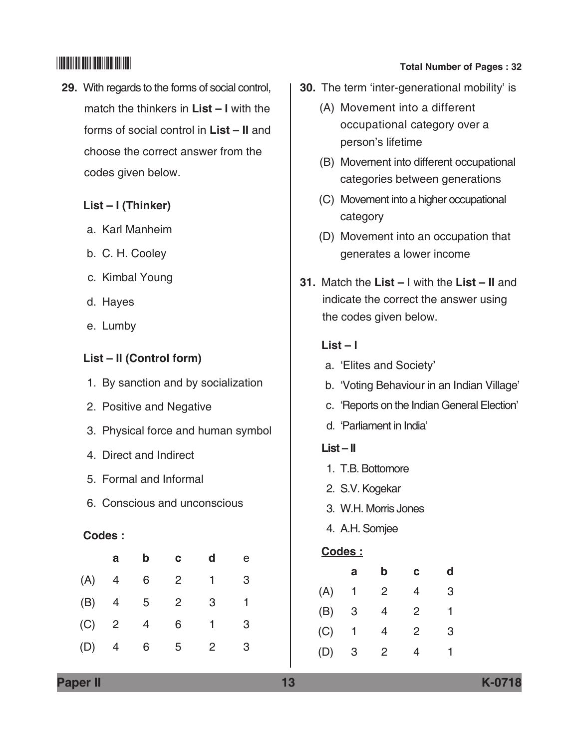**29.** With regards to the forms of social control, match the thinkers in **List – I** with the forms of social control in **List – II** and choose the correct answer from the codes given below.

## **List – I (Thinker)**

- a. Karl Manheim
- b. C. H. Cooley
- c. Kimbal Young
- d. Hayes
- e. Lumby

## **List – II (Control form)**

- 1. By sanction and by socialization
- 2. Positive and Negative
- 3. Physical force and human symbol
- 4. Direct and Indirect
- 5. Formal and Informal
- 6. Conscious and unconscious

## **Codes :**

|     | a              | b | C | d | е |
|-----|----------------|---|---|---|---|
| (A) | 4              | 6 | 2 | 1 | 3 |
| (B) | 4              | 5 | 2 | 3 | 1 |
| (C) | $\overline{2}$ | 4 | 6 |   | 3 |
| (D) | 4              | 6 | 5 | 2 | 3 |

# \*K0718\* **Total Number of Pages : 32**

- **30.** The term 'inter-generational mobility' is
	- (A) Movement into a different occupational category over a person's lifetime
	- (B) Movement into different occupational categories between generations
	- (C) Movement into a higher occupational category
	- (D) Movement into an occupation that generates a lower income
- **31.** Match the **List** I with the **List II** and indicate the correct the answer using the codes given below.

## **List – I**

- a. 'Elites and Society'
- b. 'Voting Behaviour in an Indian Village'
- c. 'Reports on the Indian General Election'
- d. 'Parliament in India'

## **List – II**

- 1. T.B. Bottomore
- 2. S.V. Kogekar
- 3. W.H. Morris Jones
- 4. A.H. Somjee

## **Codes :**

|     | a | b | с | d |
|-----|---|---|---|---|
| (A) | 1 | 2 | 4 | 3 |
| (B) | 3 | 4 | 2 | 1 |
| (C) | 1 | 4 | 2 | 3 |
| (D) | 3 | 2 | 4 | 1 |

**Paper II 13 K-0718**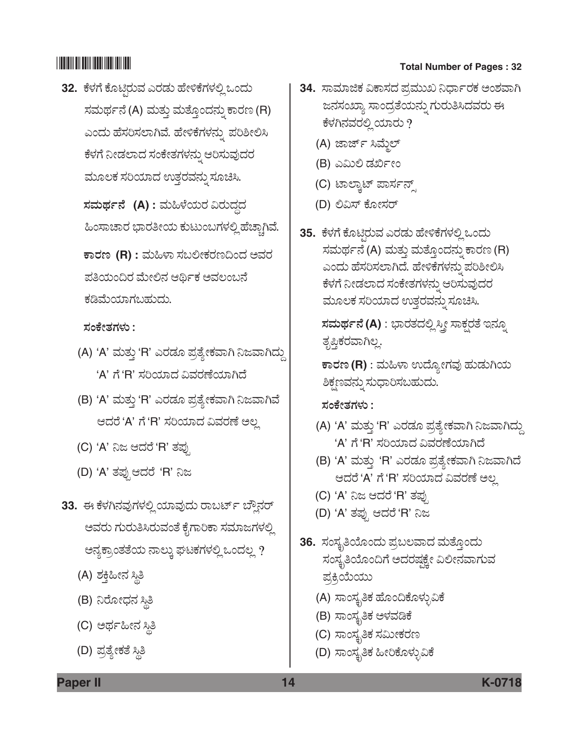**32.** ಕೆಳಗೆ ಕೊಟ್ತಿರುವ ಎರಡು ಹೇಳಿಕೆಗಳಲ್ಲಿ ಒಂದು ಸಮರ್ಥನೆ (A) ಮತ್ತು ಮತ್ತೊಂದನ್ನು ಕಾರಣ (R) ಎಂದು ಹೆಸರಿಸಲಾಗಿವೆ. ಹೇಳಿಕೆಗಳನ್ನು ಪರಿಶೀಲಿಸಿ ಕೆಳಗೆ ನೀಡಲಾದ ಸಂಕೇತಗಳನ್ನು ಆರಿಸುವುದರ ಮೂಲಕ ಸರಿಯಾದ ಉತ್ತರವನ್ನು ಸೂಚಿಸಿ.

 $\vec{a}$  *x*  $\vec{b}$  *A* : ಮಹಿಳೆಯರ ವಿರುದ್ಧದ ಹಿಂಸಾಚಾರ ಭಾರತೀಯ ಕುಟುಂಬಗಳಲ್ಲಿ ಹೆಚ್ಚಾಗಿವೆ.

 $\overline{P}$ ಕಾರಣ (R) : ಮಹಿಳಾ ಸಬಲೀಕರಣದಿಂದ ಅವರ ಪತಿಯಂದಿರ ಮೇಲಿನ ಆರ್ಥಿಕ ಅವಲಂಬನೆ ಕಡಿಮೆಯಾಗಬಹುದು.

### *ÓÜíPæàñÜWÜÙÜá :*

- (A) 'A' ಮತ್ತು 'R' ಎರಡೂ ಪ್ರತ್ಯೇಕವಾಗಿ ನಿಜವಾಗಿದ್ದು 'A' ಗೆ 'R' ಸರಿಯಾದ ವಿವರಣೆಯಾಗಿದೆ
- (B) 'A' ಮತ್ತು 'R' ಎರಡೂ ಪ್ರತ್ಯೇಕವಾಗಿ ನಿಜವಾಗಿವೆ ಆದರೆ 'A' ಗೆ 'R' ಸರಿಯಾದ ವಿವರಣೆ ಅಲ್ಲ
- (C) 'A' ನಿಜ ಆದರೆ 'R' ತಪು
- (D) 'A' ತಪ್ಪುಆದರೆ 'R' ನಿಜ
- 33. ಈ ಕೆಳಗಿನವುಗಳಲ್ಲಿ ಯಾವುದು ರಾಬರ್ಟ್ ಬ್ಲೌನರ್ ಅವರು ಗುರುತಿಸಿರುವಂತೆ ಕೈಗಾರಿಕಾ ಸಮಾಜಗಳಲ್ಲಿ ಅನ್ಯಕ್ರಾಂತತೆಯ ನಾಲ್ತು ಘಟಕಗಳಲ್ಲಿ ಒಂದಲ್ಲ ?
	- (A) ಶಕ್ತಿಹೀನ ಸ್ಥಿತಿ
	- (B) ನಿರೋಧನ ಸ್ಥಿತಿ
	- (C) ಅರ್ಥಹೀನ ಸ್ಥಿತಿ
	- (D) ಪ್ರತ್ಯೇಕತೆ ಸ್ಥಿತಿ

# \*K0718\* **Total Number of Pages : 32**

- **34.** ಸಾಮಾಜಿಕ ವಿಕಾಸದ ಪ್ರಮುಖ ನಿರ್ಧಾರಕ ಅಂಶವಾಗಿ ಜನಸಂಖ್ಯಾ ಸಾಂದ್ರತೆಯನ್ನು ಗುರುತಿಸಿದವರು ಈ ಕೆಳಗಿನವರಲ್ಲಿ ಯಾರು ?
	- (A) ಜಾರ್ಜ್ ಸಿಮ್ಮೆಲ್
	- (B) ಎಮಿಲಿ ಡರ್ಖೀಂ
	- (C) ಟಾಲ್ಕಾಟ್ ಪಾರ್ಸನ್ಸ್
	- (D) ಲಿವಿಸ್ ಕೋಸರ್
- **35.** ಕೆಳಗೆ ಕೊಟ್ತಿರುವ ಎರಡು ಹೇಳಿಕೆಗಳಲ್ಲಿ ಒಂದು ಸಮರ್ಥನೆ (A) ಮತ್ತು ಮತ್ತೊಂದನ್ನು ಕಾರಣ (R) ಎಂದು ಹೆಸರಿಸಲಾಗಿದೆ. ಹೇಳಿಕೆಗಳನ್ನು ಪರಿಶೀಲಿಸಿ ಕೆಳಗೆ ನೀಡಲಾದ ಸಂಕೇತಗಳನ್ನು ಆರಿಸುವುದರ ಮೂಲಕ ಸರಿಯಾದ ಉತ್ತರವನ್ನು ಸೂಚಿಸಿ.

 $\vec{a}$ ಮರ್ಥನೆ (A) : ಭಾರತದಲ್ಲಿ ಸ್ತ್ರೀ ಸಾಕ್ಷರತೆ ಇನ್ನೂ ತೃಪ್ತಿಕರವಾಗಿಲ್ಲ.

 $\overline{\textbf{r}}$ ಾರಣ (R) : ಮಹಿಳಾ ಉದ್ಯೋಗವು ಹುಡುಗಿಯ ಶಿಕ್ಷಣವನ್ನು ಸುಧಾರಿಸಬಹುದು.

 *ÓÜíPæàñÜWÜÙÜá :*

- (A) 'A' ಮತ್ತು 'R' ಎರಡೂ ಪ್ರತ್ಯೇಕವಾಗಿ ನಿಜವಾಗಿದ್ದು 'A' ಗೆ 'R' ಸರಿಯಾದ ವಿವರಣೆಯಾಗಿದೆ
- (B) 'A' ಮತ್ತು 'R' ಎರಡೂ ಪ್ರತ್ಯೇಕವಾಗಿ ನಿಜವಾಗಿದೆ ಆದರೆ 'A' ಗೆ 'R' ಸರಿಯಾದ ವಿವರಣೆ ಅಲ್ಲ
- (C) 'A' ನಿಜ ಆದರೆ 'R' ತಪ್ಪು
- (D) 'A' ತಪ್ಪು ಆದರೆ 'R' ನಿಜ
- **36.** ಸಂಸ್ಥತಿಯೊಂದು ಪ್ರಬಲವಾದ ಮತ್ತೊಂದು ಸಂಸ್ಥತಿಯೊಂದಿಗೆ ಅದರಷ್ಕಕ್ಕೇ ವಿಲೀನವಾಗುವ ಪ್ರಕ್ರಿಯೆಯು
	- (A) ಸಾಂಸ್ಕೃತಿಕ ಹೊಂದಿಕೊಳ್ಳುವಿಕೆ
	- (B) ಸಾಂಸ್ಥೃತಿಕ ಅಳವಡಿಕೆ
	- (C) ಸಾಂಸ್ಥೃತಿಕ ಸಮೀಕರಣ
	- (D) ಸಾಂಸ್ಕೃತಿಕ ಹೀರಿಕೊಳ್ಳುವಿಕೆ

**Paper II 14 K-0718**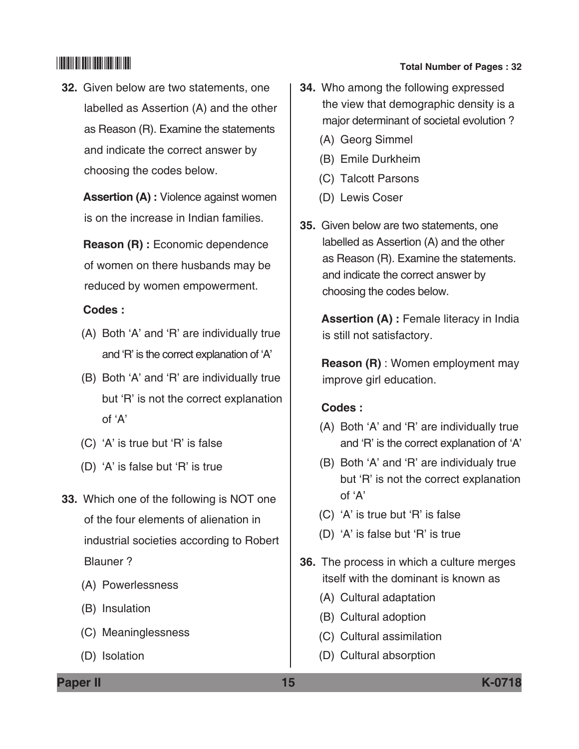**32.** Given below are two statements, one labelled as Assertion (A) and the other as Reason (R). Examine the statements and indicate the correct answer by choosing the codes below.

> **Assertion (A) :** Violence against women is on the increase in Indian families.

 **Reason (R) :** Economic dependence of women on there husbands may be reduced by women empowerment.

### **Codes :**

- (A) Both 'A' and 'R' are individually true and 'R' is the correct explanation of 'A'
- (B) Both 'A' and 'R' are individually true but 'R' is not the correct explanation of 'A'
- (C) 'A' is true but 'R' is false
- (D) 'A' is false but 'R' is true
- **33.** Which one of the following is NOT one of the four elements of alienation in industrial societies according to Robert Blauner ?
	- (A) Powerlessness
	- (B) Insulation
	- (C) Meaninglessness
	- (D) Isolation

# \*K0718\* **Total Number of Pages : 32**

- **34.** Who among the following expressed the view that demographic density is a major determinant of societal evolution ?
	- (A) Georg Simmel
	- (B) Emile Durkheim
	- (C) Talcott Parsons
	- (D) Lewis Coser
- **35.** Given below are two statements, one labelled as Assertion (A) and the other as Reason (R). Examine the statements. and indicate the correct answer by choosing the codes below.

 **Assertion (A) :** Female literacy in India is still not satisfactory.

 **Reason (R)** : Women employment may improve girl education.

### **Codes :**

- (A) Both 'A' and 'R' are individually true and 'R' is the correct explanation of 'A'
- (B) Both 'A' and 'R' are individualy true but 'R' is not the correct explanation of 'A'
- (C) 'A' is true but 'R' is false
- (D) 'A' is false but 'R' is true
- **36.** The process in which a culture merges itself with the dominant is known as
	- (A) Cultural adaptation
	- (B) Cultural adoption
	- (C) Cultural assimilation
	- (D) Cultural absorption

**Paper II 15 K-0718**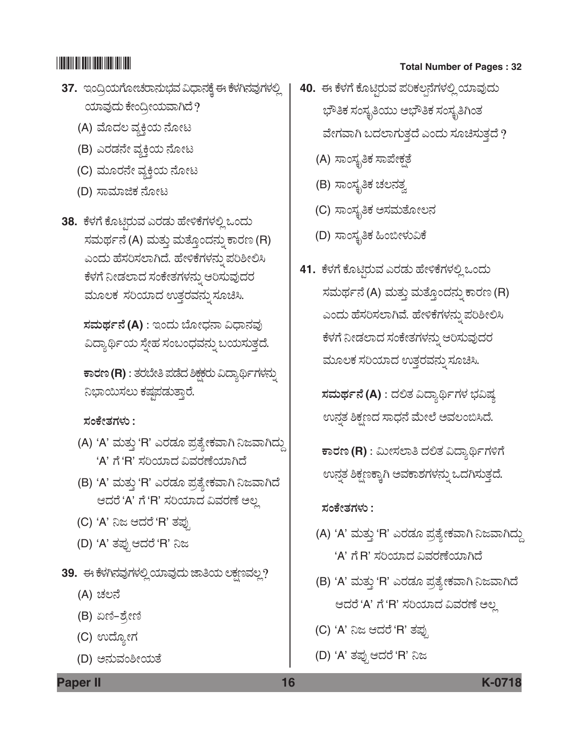- **37.** ಇಂದ್ರಿಯಗೋಚರಾನುಭವ ವಿಧಾನಕ್ಕೆ ಈ ಕೆಳಗಿನವುಗಳಲ್ಲಿ ಯಾವುದು ಕೇಂದ್ರೀಯವಾಗಿದೆ?
	- (A) ಮೊದಲ ವ್ಯಕ್ತಿಯ ನೋಟ
	- (B) ಎರಡನೇ ವ್ಯಕ್ತಿಯ ನೋಟ
	- (C) ಮೂರನೇ ವ್ಯಕ್ತಿಯ ನೋಟ
	- (D) ಸಾಮಾಜಿಕ ನೋಟ
- 38. ಕೆಳಗೆ ಕೊಟ್ಟಿರುವ ಎರಡು ಹೇಳಿಕೆಗಳಲ್ಲಿ ಒಂದು ಸಮರ್ಥನೆ (A) ಮತ್ತು ಮತ್ತೊಂದನ್ನು ಕಾರಣ (R) ಎಂದು ಹೆಸರಿಸಲಾಗಿದೆ. ಹೇಳಿಕೆಗಳನ್ನು ಪರಿಶೀಲಿಸಿ ಕೆಳಗೆ ನೀಡಲಾದ ಸಂಕೇತಗಳನ್ನು ಆರಿಸುವುದರ ಮೂಲಕ ಸರಿಯಾದ ಉತ್ತರವನ್ನು ಸೂಚಿಸಿ.

 $\vec{x}$ ಮರ್ಥನೆ (A) : ಇಂದು ಬೋಧನಾ ವಿಧಾನವು ವಿದ್ಯಾರ್ಥಿಯ ಸ್ತೇಹ ಸಂಬಂಧವನ್ನು ಬಯಸುತ್ತದೆ.

 $\overline{P}$ ಕಾರಣ (R) : ತರಬೇತಿ ಪಡೆದ ಶಿಕ್ಷಕರು ವಿದ್ಯಾರ್ಥಿಗಳನ್ನು ನಿಭಾಯಿಸಲು ಕಷ್ಯಪಡುತ್ತಾರೆ.

 *ÓÜíPæàñÜWÜÙÜá :*

- (A) 'A' ಮತ್ತು 'R' ಎರಡೂ ಪ್ರತ್ಯೇಕವಾಗಿ ನಿಜವಾಗಿದ್ದು 'A' ಗೆ 'R' ಸರಿಯಾದ ವಿವರಣೆಯಾಗಿದೆ
- (B) 'A' ಮತ್ತು 'R' ಎರಡೂ ಪ್ರತ್ಯೇಕವಾಗಿ ನಿಜವಾಗಿದೆ ಆದರೆ 'A' ಗೆ 'R' ಸರಿಯಾದ ವಿವರಣೆ ಅಲ್ಲ
- (C) 'A' ನಿಜ ಆದರೆ 'R' ತಪ್ಪು
- (D) 'A' ತಪ್ಪು ಆದರೆ 'R' ನಿಜ
- 39. ಈ ಕೆಳಗಿನವುಗಳಲ್ಲಿ ಯಾವುದು ಜಾತಿಯ ಲಕ್ಷಣವಲ್ಲ?
	- (A) ಚಲನೆ
	- (B) ಏಣಿ–ಶ್ರೇಣಿ
	- (C) ಉದ್ಯೋಗ
	- (D) ಅನುವಂಶೀಯತೆ

# \*K0718\* **Total Number of Pages : 32**

- **40.** ಈ ಕೆಳಗೆ ಕೊಟ್ಟಿರುವ ಪರಿಕಲ್ಪನೆಗಳಲ್ಲಿ ಯಾವುದು ಭೌತಿಕ ಸಂಸ್ಕೃತಿಯು ಅಭೌತಿಕ ಸಂಸ್ಕೃತಿಗಿಂತ ವೇಗವಾಗಿ ಬದಲಾಗುತ್ತದೆ ಎಂದು ಸೂಚಿಸುತ್ತದೆ ?
	- (A) ಸಾಂಸ್ಕೃತಿಕ ಸಾಪೇಕ್ಷತೆ
	- (B) ಸಾಂಸ್ಕೃತಿಕ ಚಲನತ್ವ
	- (C) ಸಾಂಸ್ಥ್ರತಿಕ ಅಸಮತೋಲನ
	- (D) ಸಾಂಸ್ಕೃತಿಕ ಹಿಂಬೀಳುವಿಕೆ
- 41. ಕೆಳಗೆ ಕೊಟ್ಟಿರುವ ಎರಡು ಹೇಳಿಕೆಗಳಲ್ಲಿ ಒಂದು ಸಮರ್ಥನೆ (A) ಮತ್ತು ಮತ್ತೊಂದನ್ನು ಕಾರಣ (R) ಎಂದು ಹೆಸರಿಸಲಾಗಿವೆ. ಹೇಳಿಕೆಗಳನ್ನು ಪರಿಶೀಲಿಸಿ ಕೆಳಗೆ ನೀಡಲಾದ ಸಂಕೇತಗಳನ್ನು ಆರಿಸುವುದರ ಮೂಲಕ ಸರಿಯಾದ ಉತ್ತರವನ್ನು ಸೂಚಿಸಿ.

 $\vec{a}$ ಮರ್ಥನೆ (A) : ದಲಿತ ವಿದ್ಯಾರ್ಥಿಗಳ ಭವಿಷ್ಯ ಉನ್ನತ ಶಿಕ್ಷಣದ ಸಾಧನೆ ಮೇಲೆ ಅವಲಂಬಿಸಿದೆ.

 $\overline{\textbf{r}}$ ಾರಣ (R) : ಮೀಸಲಾತಿ ದಲಿತ ವಿದ್ಯಾರ್ಥಿಗಳಿಗೆ ಉನ್ನತ ಶಿಕ್ಷಣಕ್ಕಾಗಿ ಅವಕಾಶಗಳನ್ನು ಒದಗಿಸುತ್ತದೆ.

 *ÓÜíPæàñÜWÜÙÜá :*

- (A) 'A' ಮತ್ತು 'R' ಎರಡೂ ಪ್ರತ್ಯೇಕವಾಗಿ ನಿಜವಾಗಿದ್ದು 'A' ಗೆ R' ಸರಿಯಾದ ವಿವರಣೆಯಾಗಿದೆ
- (B) 'A' ಮತ್ತು 'R' ಎರಡೂ ಪ್ರತ್ಯೇಕವಾಗಿ ನಿಜವಾಗಿದೆ ಆದರೆ 'A' ಗೆ 'R' ಸರಿಯಾದ ವಿವರಣೆ ಅಲ್ಲ
- (C) 'A' ನಿಜ ಆದರೆ 'R' ತಪ್ಪು
- (D) 'A' ತಪ್ಪು ಆದರೆ 'R' ನಿಜ

**Paper II 16 K-0718**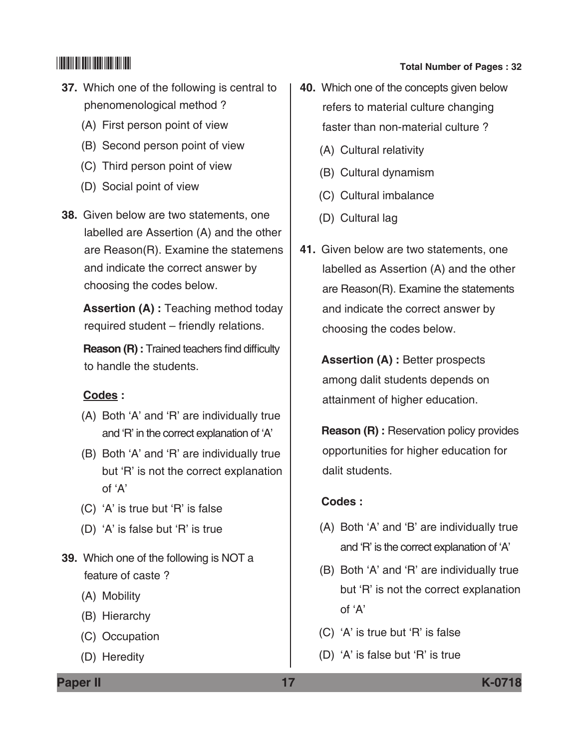- **37.** Which one of the following is central to phenomenological method ?
	- (A) First person point of view
	- (B) Second person point of view
	- (C) Third person point of view
	- (D) Social point of view
- **38.** Given below are two statements, one labelled are Assertion (A) and the other are Reason(R). Examine the statemens and indicate the correct answer by choosing the codes below.

 **Assertion (A) :** Teaching method today required student – friendly relations.

 **Reason (R) :** Trained teachers find difficulty to handle the students.

### **Codes :**

- (A) Both 'A' and 'R' are individually true and 'R' in the correct explanation of 'A'
- (B) Both 'A' and 'R' are individually true but 'R' is not the correct explanation of 'A'
- (C) 'A' is true but 'R' is false
- (D) 'A' is false but 'R' is true
- **39.** Which one of the following is NOT a feature of caste ?
	- (A) Mobility
	- (B) Hierarchy
	- (C) Occupation
	- (D) Heredity
- **40.** Which one of the concepts given below refers to material culture changing faster than non-material culture ?
	- (A) Cultural relativity
	- (B) Cultural dynamism
	- (C) Cultural imbalance
	- (D) Cultural lag
- **41.** Given below are two statements, one labelled as Assertion (A) and the other are  $Reason(R)$ . Examine the statements and indicate the correct answer by choosing the codes below.

 **Assertion (A) :** Better prospects among dalit students depends on attainment of higher education.

**Reason (R) : Reservation policy provides** opportunities for higher education for dalit students.

### **Codes :**

- (A) Both 'A' and 'B' are individually true and 'R' is the correct explanation of 'A'
- (B) Both 'A' and 'R' are individually true but 'R' is not the correct explanation of 'A'
- (C) 'A' is true but 'R' is false
- (D) 'A' is false but 'R' is true

**Paper II 17 K-0718**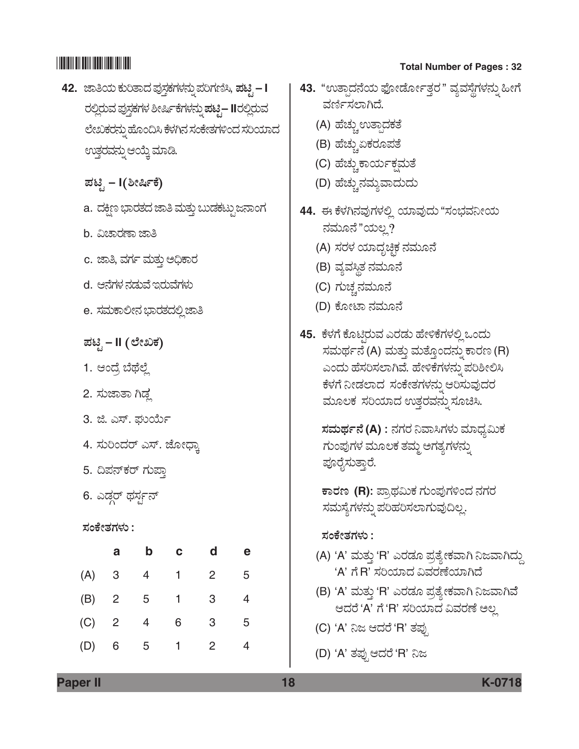- **42.** hÝ£¿á PÜáÄñÝ¨Ü ±ÜâÓܤPÜWÜÙÜ®Üá° ±ÜÄWÜ~Ô, *±Üqr*  **I**  ರಲ್ಲಿರುವ ಪುಸ್ತಕಗಳ ಶೀರ್ಷಿಕೆಗಳನ್ನು **ಪಟ್ನ− II**ರಲ್ಲಿರುವ ಲೇಖಕರನ್ನು ಹೊಂದಿಸಿ ಕೆಳಗಿನ ಸಂಕೇತಗಳಿಂದ ಸರಿಯಾದ ಊತ್ತರವನ್ನು ಆಯ್ಕೆ ಮಾಡಿ.
	- $\vec{E}$ ಟೈ I $(\hat{\theta}$ ರ್ೀರ್ಷಿ
	- a. ದಕ್ಷಿಣ ಭಾರತದ ಜಾತಿ ಮತ್ತು ಬುಡಕಟ್ಟು ಜನಾಂಗ
	- b. ವಿಚಾರಣಾ ಜಾತಿ
	- c. ಜಾತಿ, ವರ್ಗ ಮತ್ತು ಅಧಿಕಾರ
	- d. ಆನೆಗಳ ನಡುವೆ ಇರುವೆಗಳು
	- e. ಸಮಕಾಲೀನ ಭಾರತದಲ್ಲಿ ಜಾತಿ

 *±Üqr* **– II** *(ÇæàSPÜ)*

- 1. ಆಂದ್ರೆ ಬೆಥೆಲ್ಲೆ
- 2. ಸುಜಾತಾ ಗಿಡ್ಡ
- 3. ಜಿ. ಎಸ್. ಘುರ್ಯ
- 4. ಸುರಿಂದರ್ ಎಸ್. ಜೋಧಾ,
- 5. ದಿಪನ್ಕರ್ ಗುಪಾ
- 6. ಎಡ್ಡರ್ ಥರ್ಸ್ಗನ್

 *ÓÜíPæàñÜWÜÙÜá :*

|     | a              | b | C            | d              | е |
|-----|----------------|---|--------------|----------------|---|
| (A) | 3              | 4 | $1 \quad$    | $\overline{2}$ | 5 |
| (B) | $\overline{2}$ | 5 | $1 -$        | 3              |   |
| (C) | $\overline{2}$ | 4 | 6            | 3              | 5 |
| (D) | 6              | 5 | $\mathbf{1}$ | 2              |   |

# \*K0718\* **Total Number of Pages : 32**

- **43.** "ಉತ್ಪಾದನೆಯ ಫೋರ್ಡೋತ್ತರ" ವ್ಯವಸ್ಥೆಗಳನ್ನು ಹೀಗೆ ವರ್ಣಿಸಲಾಗಿದೆ.
	- (A) ಹೆಚ್ಚು ಉತ್ಪಾದಕತೆ
	- (B) ಹೆಚ್ಚುಏಕರೂಪತೆ
	- (C) ಹೆಚ್ಚುಕಾರ್ಯಕ್ಷಮತೆ
	- (D) ಹೆಚ್ಚುನಮ್ಗವಾದುದು
- 44. ಈ ಕೆಳಗಿನವುಗಳಲ್ಲಿ ಯಾವುದು "ಸಂಭವನೀಯ ನಮೂನೆ"ಯಲ್ಲ?
	- (A) ಸರಳ ಯಾದೃಚ್ಚಿಕ ನಮೂನೆ
	- (B) ವ್ಯವಸ್ಥಿತ ನಮೂನೆ
	- (C) ಗುಚ್ಚನಮೂನೆ
	- (D) ಕೋಟಾ ನಮೂನೆ
- 45. ಕೆಳಗೆ ಕೊಟ್ಗರುವ ಎರಡು ಹೇಳಿಕೆಗಳಲ್ಲಿ ಒಂದು ಸಮರ್ಥನೆ (A) ಮತ್ತು ಮತ್ತೊಂದನ್ನು ಕಾರಣ (R) ಎಂದು ಹೆಸರಿಸಲಾಗಿವೆ. ಹೇಳಿಕೆಗಳನ್ನು ಪರಿಶೀಲಿಸಿ ಕೆಳಗೆ ನೀಡಲಾದ ಸಂಕೇತಗಳನ್ನು ಆರಿಸುವುದರ ಮೂಲಕ ಸರಿಯಾದ ಉತ್ತರವನ್ನು ಸೂಚಿಸಿ.

 $\vec{z}$ ಮರ್ಥನೆ (A) : ನಗರ ನಿವಾಸಿಗಳು ಮಾಧ್ಯಮಿಕ ಗುಂಪುಗಳ ಮೂಲಕ ತಮ್ಮ ಅಗತ್ಯಗಳನ್ನು ಪೂರೈಸುತ್ತಾರೆ.

 $\overline{\phantom{a}}$ ಕಾರಣ (R): ಪ್ರಾಥಮಿಕ ಗುಂಪುಗಳಿಂದ ನಗರ ಸಮಸ್ಯೆಗಳನ್ನು ಪರಿಹರಿಸಲಾಗುವುದಿಲ್ಲ.

### *ÓÜíPæàñÜWÜÙÜá :*

- (A) 'A' ಮತ್ತು 'R' ಎರಡೂ ಪ್ರತ್ಯೇಕವಾಗಿ ನಿಜವಾಗಿದ್ದು 'A' ಗೆ R' ಸರಿಯಾದ ವಿವರಣೆಯಾಗಿದೆ
- (B) 'A' ಮತ್ತು 'R' ಎರಡೂ ಪ್ರತ್ಯೇಕವಾಗಿ ನಿಜವಾಗಿವೆ ಆದರೆ 'A' ಗೆ 'R' ಸರಿಯಾದ ವಿವರಣೆ ಅಲ್ಲ
- (C) 'A' ನಿಜ ಆದರೆ 'R' ತಪ್ಪು
- (D) 'A' ತಪ್ಪು ಆದರೆ 'R' ನಿಜ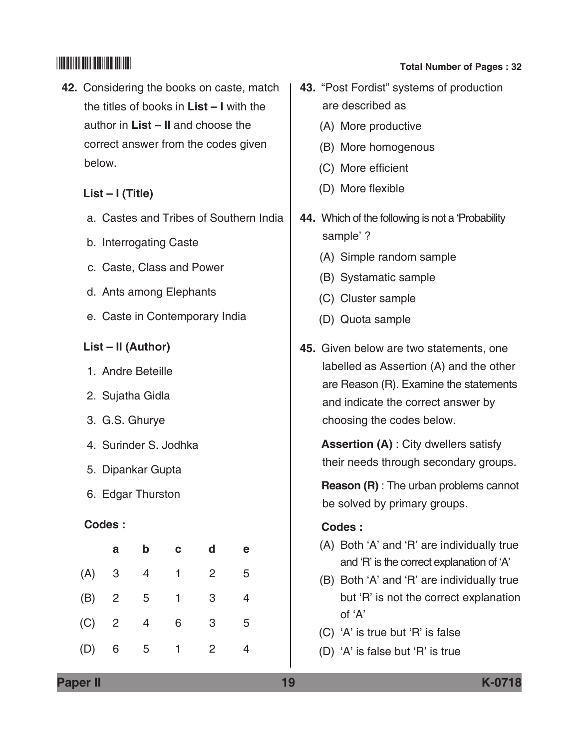**42.** Considering the books on caste, match the titles of books in **List – I** with the author in **List – II** and choose the correct answer from the codes given below.

## **List – I (Title)**

- a. Castes and Tribes of Southern India
- b. Interrogating Caste
- c. Caste, class and power
- d. Ants among Elephants
- e. Caste in contemporary India

## **List – II (Author)**

- 1. Andre Beteille
- 2. Sujatha Gidla
- 3. G.S. Ghurye
- 4. Surinder S. Jodhka
- 5. Dipankar Gupta
- 6. Edgar Thurston

## **Codes :**

|     | a              | b | c | d              | е |
|-----|----------------|---|---|----------------|---|
| (A) | 3              | 4 | 1 | 2              | 5 |
| (B) | $\overline{2}$ | 5 | 1 | 3              | 4 |
| (C) | $\overline{2}$ | 4 | 6 | 3              | 5 |
| (D) | 6              | 5 | 1 | $\overline{2}$ |   |

# \*K0718\* **Total Number of Pages : 32**

- **43.** "Post Fordist" systems of production are described as
	- (A) More productive
	- (B) More homogenous
	- (C) More efficient
	- (D) More flexible
- **44.** Which of the following is not a 'Probability sample' ?
	- (A) Simple random sample
	- (B) Systamatic sample
	- (C) Cluster sample
	- (D) Quota sample
- **45.** Given below are two statements, one labelled as Assertion (A) and the other are Reason (R). Examine the statements and indicate the correct answer by choosing the codes below.

**Assertion (A)** : City dwellers satisfy their needs through secondary groups.

 **Reason (R)** : The urban problems cannot be solved by primary groups.

## **Codes :**

- (A) Both 'A' and 'R' are individually true and 'R' is the correct explanation of 'A'
- (B) Both 'A' and 'R' are individually true but 'R' is not the correct explanation of 'A'
- (C) 'A' is true but 'R' is false
- (D) 'A' is false but 'R' is true

**Paper II 19 K-0718**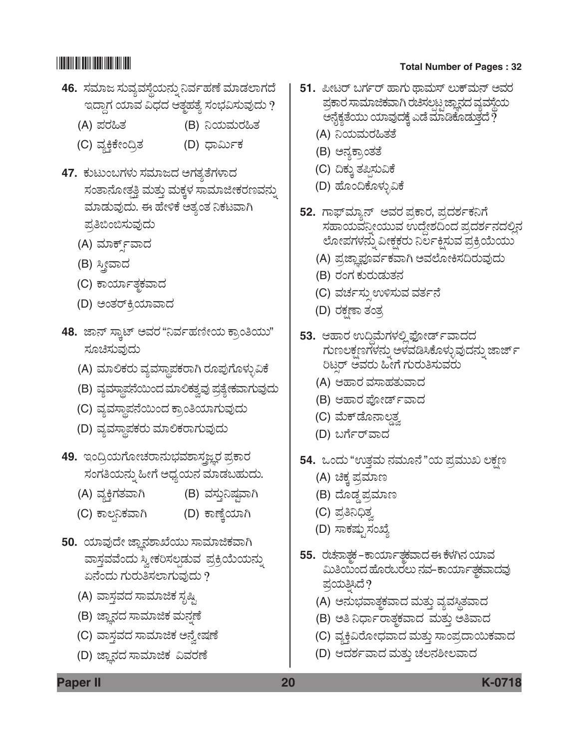- **46.** ಸಮಾಜ ಸುವ್ಯವಸ್ಥೆಯನ್ನು ನಿರ್ವಹಣೆ ಮಾಡಲಾಗದೆ ಇದ್ದಾಗ ಯಾವ ವಿಧದ ಆತ್ಮಹತ್ಯೆ ಸಂಭವಿಸುವುದು ?
	- (A) ಪರಹಿತ (B) ನಿಯಮರಹಿತ
	- (C) ÊÜÂQ¤Pæàí©ÅñÜ (D) «ÝËáìPÜ
- 47. ಕುಟುಂಬಗಳು ಸಮಾಜದ ಅಗತ್ಯತೆಗಳಾದ ಸಂತಾನೋತ್ಪತಿ ಮತ್ತು ಮಕ್ಕಳ ಸಾಮಾಜೀಕರಣವನ್ನು ಮಾಡುವುದು. ಈ ಹೇಳಿಕೆ ಅತ್ಯಂತ ನಿಕಟವಾಗಿ ಪ್ರತಿಬಿಂಬಿಸುವುದು
	- (A) ಮಾರ್ಕ್ ವಾದ
	- (B) ಸ್ತ್ರೀವಾದ
	- (C) ಕಾರ್ಯಾತ್ಮಕವಾದ
	- (D) ಅಂತರ್ಕಿಯಾವಾದ
- 48. ಜಾನ್ ಸ್ಕಾಟ್ ಅವರ "ನಿರ್ವಹಣೀಯ ಕ್ರಾಂತಿಯು" ಸೂಚಿಸುವುದು
	- $(A)$  ಮಾಲಿಕರು ವ್ಯವಸ್ಥಾಪಕರಾಗಿ ರೂಪುಗೊಳ್ಳುವಿಕೆ
	- (B) ವ್ಯವಸ್ಥಾಪನೆಯಿಂದ ಮಾಲಿಕತ್ವವು ಪ್ರತ್ಯೇಕವಾಗುವುದು
	- (C) ವ್ಯವಸ್ಥಾಪನೆಯಿಂದ ಕ್ರಾಂತಿಯಾಗುವುದು
	- (D) ವ್ಯವಸ್ಥಾಪಕರು ಮಾಲಿಕರಾಗುವುದು
- **49.** ಇಂದ್ರಿಯಗೋಚರಾನುಭವಶಾಸಜ್ಞರ ಪ್ರಕಾರ ಸಂಗತಿಯನ್ನು ಹೀಗೆ ಅಧ್ಯಯನ ಮಾಡಬಹುದು.
	- (A) ವ್ಯಕ್ತಿಗತವಾಗಿ (B) ವಸ್ತುನಿಷ್ಠವಾಗಿ
	- (C) PÝÆ³¯PÜÊÝX (D) PÝOæR¿ÞX
- 50. ಯಾವುದೇ ಜ್ಞಾನಶಾಖೆಯು ಸಾಮಾಜಿಕವಾಗಿ ವಾಸ್ತವವೆಂದು ಸ್ವೀಕರಿಸಲ್ಪಡುವ ಪ್ರಕ್ರಿಯೆಯನ್ನು ಏನೆಂದು ಗುರುತಿಸಲಾಗುವುದು ?
	- (A) ವಾಸ್ತವದ ಸಾಮಾಜಿಕ ಸೃಷ್ಟಿ
	- (B) ಜ್ಞಾನದ ಸಾಮಾಜಿಕ ಮನ್ನಣೆ
	- (C) ವಾಸ್ತವದ ಸಾಮಾಜಿಕ ಅನ್ವೇಷಣೆ
	- (D) ಜ್ಞಾನದ ಸಾಮಾಜಿಕ ವಿವರಣೆ

- **51.** ಪೀಟರ್ ಬರ್ಗರ್ ಹಾಗು ಥಾಮಸ್ ಲುಕ್*ಮನ್ ಅವ*ರ ಪ್ರಕಾರ ಸಾಮಾಜಿಕವಾಗಿ ರಚಿಸಲಟ್ಪ ಜ್ಞಾನದ ವ್ಯವಸ್ಥೆಯ ಅನೈಕ್ಯತೆಯು ಯಾವುದಕ್ಕೆ ಎಡೆ ಮಾಡಿಕೊಡುತ್ತದೆ  $\tilde{?}$ 
	- (A) ನಿಯಮರಹಿತತೆ
	- (B) ಅನ್ನಕ್ತಾಂತತೆ
	- (C) ದಿಕ್ಕು ತಪ್ಪಿಸುವಿಕೆ
	- (D) ಹೊಂದಿಕೊಳ್ಳುವಿಕೆ
- 52. ಗಾಫ್*ಮ್ಯಾನ್ ಅವರ* ಪ್ರಕಾರ, ಪ್ರದರ್ಶಕನಿಗೆ ಸಹಾಯವನ್ನೀಯುವ ಉದ್ದೇಶದಿಂದ ಪ್ರದರ್ಶನದಲ್ಲಿನ ಲೋಪಗಳನ್ನು ವೀಕ್ಷಕರು ನಿರ್ಲಕ್ಷಿಸುವ ಪ್ರಕ್ರಿಯೆಯು
	- (A) ಪ್ರಜ್ಞಾಪೂರ್ವಕವಾಗಿ ಅವಲೋಕಿಸದಿರುವುದು
	- (B) ರಂಗ ಕುರುಡುತನ
	- (C) ವರ್ಚಸ್ಪುಉಳಿಸುವ ವರ್ತನೆ
	- (D) ರಕ್ಷಣಾ ತಂತ್ರ
- **53.** ಆಹಾರ ಉದ್ಧಿಮೆಗಳಲ್ಲಿ ಫೋರ್ಡ್ ವಾದದ ಗುಣಲಕ್ಷಣಗಳನ್ನು ಅಳವಡಿಸಿಕೊಳ್ಳುವುದನ್ನು ಜಾರ್ಜ್ ರಿಟರ್ ಅವರು ಹೀಗೆ ಗುರುತಿಸುವರು
	- (A) ಆಹಾರ ವಸಾಹತುವಾದ
	- (B) ಆಹಾರ ಪೋರ್ಡ್**ವಾ**ದ
	- (C) ಮೆಕ್*ಡೊನಾಲ್ದ*
	- (D) ಬರ್ಗೆರ್**ವಾ**ದ
- **54.** ಒಂದು "ಉತ್ತಮ ನಮೂನೆ"ಯ ಪ್ರಮುಖ ಲಕ್ಷಣ
	- (A) ಚಿಕ್ಕ ಪ್ರಮಾಣ
	- (B) ದೊಡ್ಡ ಪ್ರಮಾಣ
	- (C) ಪ್ರತಿನಿಧಿತ್ನ
	- (D) ಸಾಕಷ್ಟುಸಂಖ್ಯೆ
- **55.** ರಚನಾತ್ಥಕ –ಕಾರ್ಯಾತ್ಥಕವಾದ ಈ ಕೆಳಗಿನ ಯಾವ ಮಿತಿಯಿಂದ ಹೊರಬರಲು ನವ–ಕಾರ್ಯಾತ್ಮಮಾದವು ಪಯತಿಸಿದೆ?
	- (A) ಅನುಭವಾತ್ಮಕವಾದ ಮತ್ತು ವ್ಯವಸ್ಥಿತವಾದ
	- (B) ಅತಿ ನಿರ್ಧಾರಾತ್ಮಕವಾದ ಮತ್ತು ಅತಿವಾದ
	- (C) ವ್ಯಕ್ತಿವಿರೋಧವಾದ ಮತ್ತು ಸಾಂಪ್ರದಾಯಿಕವಾದ
	- (D) ಆದರ್ಶವಾದ ಮತ್ತು ಚಲನಶೀಲವಾದ

**Paper II 20 K-0718**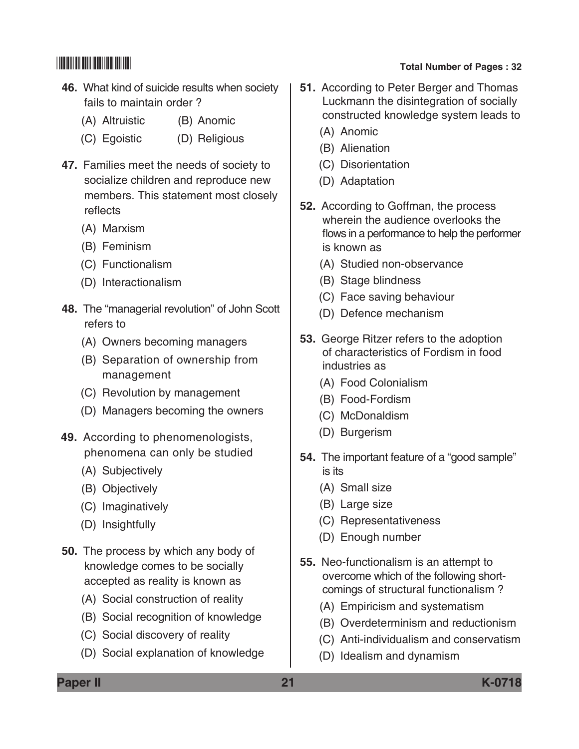- **46.** What kind of suicide results when society fails to maintain order ?
	- (A) Altruistic (B) Anomic
	- (C) Egoistic (D) Religious
- **47.** Families meet the needs of society to socialize children and reproduce new members. This statement most closely reflects
	- (A) Marxism
	- (B) Feminism
	- (C) Functionalism
	- (D) Interactionalism
- **48.** The "managerial revolution" of John Scott refers to
	- (A) Owners becoming managers
	- (B) Separation of ownership from management
	- (C) Revolution by management
	- (D) Managers becoming the owners
- **49.** According to phenomenologists, phenomena can only be studied
	- (A) Subjectively
	- (B) Objectively
	- (C) Imaginatively
	- (D) Insightfully
- **50.** The process by which any body of knowledge comes to be socially accepted as reality is known as
	- (A) Social construction of reality
	- (B) Social recognition of knowledge
	- (C) Social discovery of reality
	- (D) Social explanation of knowledge

- **51.** According to Peter Berger and Thomas Luckmann the disintegration of socially constructed knowledge system leads to
	- (A) Anomic
	- (B) Alienation
	- (C) Disorientation
	- (D) Adaptation
- **52.** According to Goffman, the process wherein the audience overlooks the flows in a performance to help the performer is known as
	- (A) Studied non-observance
	- (B) Stage blindness
	- (C) Face saving behaviour
	- (D) Defence mechanism
- **53.** George Ritzer refers to the adoption of characteristics of Fordism in food industries as
	- (A) Food Colonialism
	- (B) Food-Fordism
	- (C) McDonaldism
	- (D) Burgerism
- **54.** The important feature of a "good sample" is its
	- (A) Small size
	- (B) Large size
	- (C) Representativeness
	- (D) Enough number
- **55.** Neo-functionalism is an attempt to overcome which of the following shortcomings of structural functionalism ?
	- (A) Empiricism and systematism
	- (B) Overdeterminism and reductionism
	- (C) Anti-individualism and conservatism
	- (D) Idealism and dynamism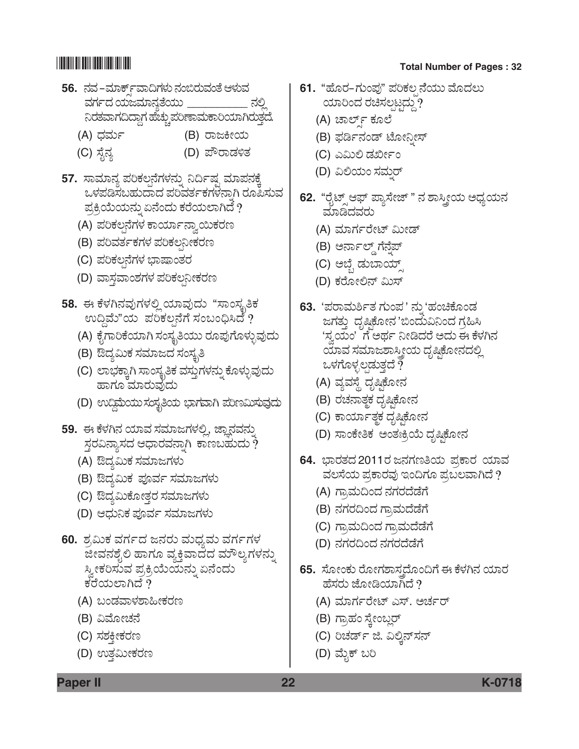- **56.** ®ÜÊÜ &ÊÜÞP…ÕìÊÝ©WÜÙÜá ®Üí¹ÃÜáÊÜíñæ BÙÜáÊÜ ವರ್ಗದ ಯಜಮಾನ್ವತೆಯು <sub>.</sub> ನಿರತವಾಗದಿದ್ದಾಗ ಹೆಚ್ಚು ಪರಿಣಾಮಕಾರಿಯಾಗಿರುತ್ತದೆ.
	- (A) ಧರ್ಮ (B) ರಾಜಕೀಯ
	- (C) ಸೈನ್ಯ (D) ಪೌರಾಡಳಿತ
- 57. ಸಾಮಾನ್ಯ ಪರಿಕಲ್ಪನೆಗಳನ್ನು ನಿರ್ದಿಷ್ಟ ಮಾಪನಕ್ಕೆ ಒಳಪಡಿಸಬಹುದಾದ ಪರಿವರ್ತಕಗಳನಾಗಿ ರೂಪಿಸುವ ಪ್ರಕ್ರಿಯೆಯನ್ನು ಏನೆಂದು ಕರೆಯಲಾಗಿದೆ $\,$ ?
	- (A) ಪರಿಕಲ್ಪನೆಗಳ ಕಾರ್ಯಾನ್ನಾಯಿಕರಣ
	- (B) ಪರಿವರ್ತಕಗಳ ಪರಿಕಲನೀಕರಣ
	- (C) ಪರಿಕಲ್ಪನೆಗಳ ಭಾಷಾಂತರ
	- (D) ವಾಸ್ತವಾಂಶಗಳ ಪರಿಕಲನೀಕರಣ
- 58. ಈ ಕೆಳಗಿನವುಗಳಲ್ಲಿ ಯಾವುದು "ಸಾಂಸ್ಥತಿಕ  $\infty$ ದ್ದಿಮೆ"ಯ ಪರಿಕಲನೆಗೆ ಸಂಬಂಧಿಸಿದೆ ?
	- (A) ಕೈಗಾರಿಕೆಯಾಗಿ ಸಂಸ್ಥತಿಯು ರೂಪುಗೊಳ್ಳುವುದು
	- (B) ಔದ್ಯಮಿಕ ಸಮಾಜದ ಸಂಸ್ಕೃತಿ
	- (C) ಲಾಭಕ್ಕಾಗಿ ಸಾಂಸ್ಕೃತಿಕ ವಸ್ತುಗಳನ್ನು ಕೊಳ್ಳುವುದು ಹಾಗೂ ಮಾರುವುದು
	- (D) ಉದ್ದಿಮೆಯುಸಂಸ್ಥತಿಯ ಭಾಗವಾಗಿ ಪರಿಣಮಿಸುವುದು
- 59. ಈ ಕೆಳಗಿನ ಯಾವ ಸಮಾಜಗಳಲ್ಲಿ, ಜ್ಞಾನವನ್ನು ಸ್ಥರವಿನ್ಯಾಸದ ಆಧಾರವನ್ನಾಗಿ ಕಾಣಬಹುದು ?
	- (A) ಔದ್ಯಮಿಕ ಸಮಾಜಗಳು
	- (B) ಔದ್ಯಮಿಕ ಪೂರ್ವ ಸಮಾಜಗಳು
	- (C) ಔದ್ಯಮಿಕೋತ್ತರ ಸಮಾಜಗಳು
	- (D) ಆಧುನಿಕ ಪೂರ್ವ ಸಮಾಜಗಳು
- 60. ಶ್ರಮಿಕ ವರ್ಗದ ಜನರು ಮಧ್ಯಮ ವರ್ಗಗಳ ಜೀವನಶೈಲಿ ಹಾಗೂ ವ್ಯಕ್ತಿವಾದದ ಮೌಲ್ಯಗಳನ್ನು ಸ್ವೀಕರಿಸುವ ಪ್ರಕ್ರಿಯೆಯನ್ನು ಏನೆಂದು ಕರೆಯಲಾಗಿದೆ  $\overline{\partial}$ 
	- (A) ಬಂಡವಾಳಶಾಹೀಕರಣ
	- (B) ವಿಮೋಚನೆ
	- (C) ಸಶಕೀಕರಣ
	- (D) ಉತ್ತಮೀಕರಣ

- **61.** "ಹೊರ–ಗುಂಪು" ಪರಿಕಲ ನೆಯು ಮೊದಲು ಯಾರಿಂದ ರಚಿಸಲ್ಪಟ್ಟದ್ದು?
	- (A) ಚಾರ್ಲ್ ಕೂಲೆ
	- (B) ಫರ್ಡಿನಂಡ್ ಟೋನ್ಷೀಸ್
	- (C) ಎಮಿಲಿ ಡರ್ಖೀಂ
	- (D) ವಿಲಿಯಂ ಸಮ್ತರ್
- **62.** "ರೈಟ್ಸ್ ಆಫ್ ಪ್ಯಾಸೇಜ್ " ನ ಶಾಸ್ತ್ರೀಯ ಅಧ್ಯಯನ ಮಾಡಿದವರು
	- (A) ಮಾರ್ಗರೇಟ್ ಮೀಡ್
	- (B) ಅರ್ನಾಲ್ಡ್ ಗೆನ್<del>ವ</del>ೆಪ್
	- (C) ಅಬ್ಬೆ ಡುಬಾಯ್ಡ್
	- (D) ಕರೋಲಿನ್ ಮಿಸ್
- **63.** 'ಪರಾಮರ್ಶಿತ ಗುಂಪ' ನು 'ಹಂಚಿಕೊಂಡ ಜಗತ್ತು ದೃಷ್ಟಿಕೋನ 'ಬಿಂದುವಿನಿಂದ ಗ್ರಹಿಸಿ 'ಸ್ವಯಂ' ಗೆ ಅರ್ಥ ನೀಡಿದರೆ ಅದು ಈ ಕೆಳಗಿನ ಯಾವ ಸಮಾಜಶಾಸ್ತ್ರೀಯ ದೃಷ್ಟಿಕೋನದಲ್ಲಿ ಒಳಗೊಳ್ಳಲ್ಪಡುತ್ತದೆ  $\bar{?}$ 
	- (A) ವ್ಯವಸ್ಥೆ ದೃಷ್ಠಿಕೋನ
	- (B) ರಚನಾತ್ತಕ ದೃಷ್ಠಿಕೋನ
	- (C) ಕಾರ್ಯಾತ್ಮಕ ದೃಷಿಕೋನ
	- (D) ಸಾಂಕೇತಿಕ ಅಂತಃಕ್ರಿಯೆ ದೃಷ್ಠಿಕೋನ
- **64.** ಭಾರತದ 2011ರ ಜನಗಣತಿಯ ಪ್ರಕಾರ ಯಾವ ವಲಸೆಯ ಪ್ರಕಾರವು ಇಂದಿಗೂ ಪ್ರಬಲವಾಗಿದೆ ?
	- (A) ಗ್ರಾಮದಿಂದ ನಗರದೆಡೆಗೆ
	- (B) ನಗರದಿಂದ ಗ್ರಾಮದೆಡೆಗೆ
	- (C) ಗ್ರಾಮದಿಂದ ಗ್ರಾಮದೆಡೆಗೆ
	- (D) ನಗರದಿಂದ ನಗರದೆಡೆಗೆ
- **65.** ಸೋಂಕು ರೋಗಶಾಸ್ತದೊಂದಿಗೆ ಈ ಕೆಳಗಿನ ಯಾರ ಹೆಸರು ಜೋಡಿಯಾಗಿದೆ  $\overline{\gamma}$ 
	- (A) ಮಾರ್ಗರೇಟ್ ಎಸ್. ಅರ್ಚರ್
	- (B) ಗ್ರಾಹಂ ಸ್ತೇಂಬ್ಲರ್
	- (C) ರಿಚರ್ಡ್ ಜಿ. ವಿಲ್ತಿನ್**ಸನ್**
	- (D) ಮೈಕ್ ಬರಿ

## **Paper II 22 K-0718**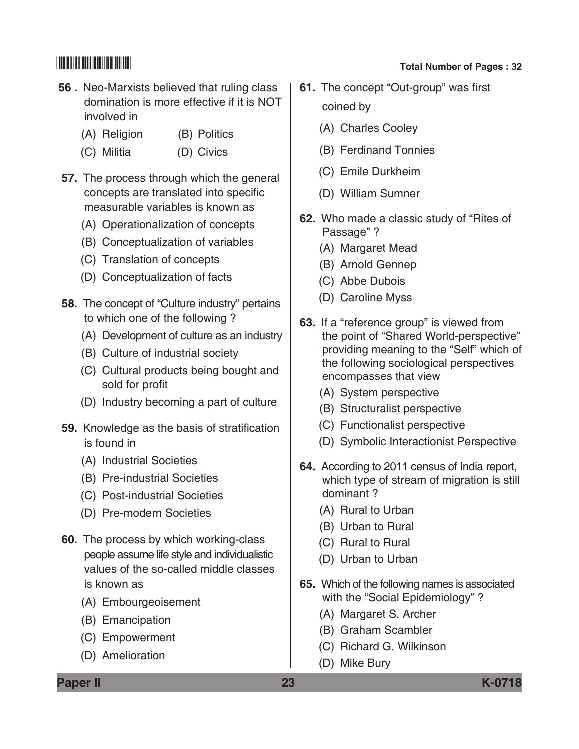### **56 .** Neo-Marxists believed that ruling class domination is more effective if it is NOT involved in

- (A) Religion (B) Politics
- (C) Militia (D) Civics
- **57.** The process through which the general concepts are translated into specific measurable variables is known as
	- (A) Operationalization of concepts
	- (B) Conceptualization of variables
	- (C) Translation of concepts
	- (D) Conceptualization of facts
- **58.** The concept of "Culture industry" pertains to which one of the following ?
	- (A) Development of culture as an industry
	- (B) Culture of industrial society
	- (C) Cultural products being bought and sold for profit
	- (D) Industry becoming a part of culture
- **59.** Knowledge as the basis of stratification is found in
	- (A) Industrial Societies
	- (B) Pre-industrial Societies
	- (C) Post-industrial Societies
	- (D) Pre-modern Societies
- **60.** The process by which working-class people assume life style and individualistic values of the so-called middle classes is known as
	- (A) Embourgeoisement
	- (B) Emancipation
	- (C) Empowerment
	- (D) Amelioration

# \*K0718\* **Total Number of Pages : 32**

- **61.** The concept "Out-group" was first coined by
	- (A) Charles Cooley
	- (B) Ferdinand Tonnies
	- (C) Emile Durkheim
	- (D) William Sumner
- **62.** Who made a classic study of "Rites of Passage" ?
	- (A) Margaret Mead
	- (B) Arnold Gennep
	- (C) Abbe Dubois
	- (D) Caroline Myss
- **63.** If a "reference group" is viewed from the point of "Shared World-perspective" providing meaning to the "Self" which of the following sociological perspectives encompasses that view
	- (A) System perspective
	- (B) Structuralist perspective
	- (C) Functionalist perspective
	- (D) Symbolic Interactionist Perspective
- **64.** According to 2011 census of India report, which type of stream of migration is still dominant ?
	- (A) Rural to Urban
	- (B) Urban to Rural
	- (C) Rural to Rural
	- (D) Urban to Urban
- **65.** Which of the following names is associated with the "Social Epidemiology"?
	- (A) Margaret S. Archer
	- (B) Graham Scambler
	- (C) Richard G. Wilkinson
	- (D) Mike Bury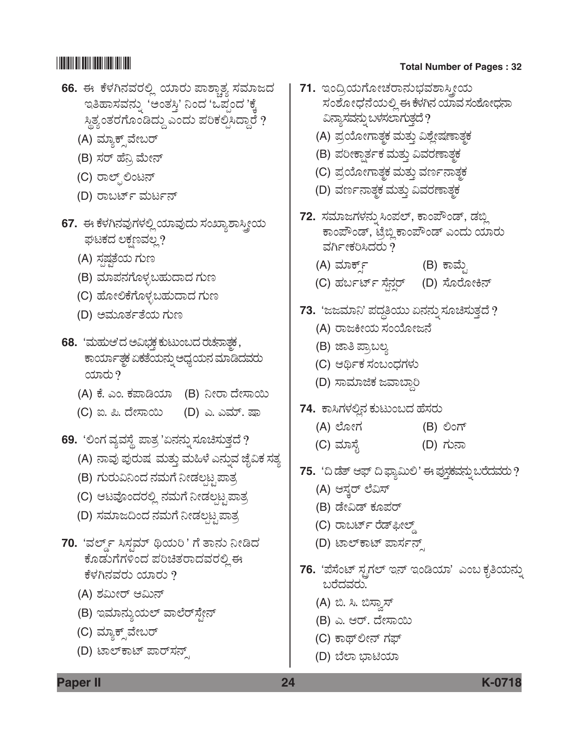- **66.** ಈ ಕೆಳಗಿನವರಲ್ಲಿ ಯಾರು ಪಾಶ್ಕಾತ್ಯ ಸಮಾಜದ ಇತಿಹಾಸವನ್ನು 'ಅಂತಸ್ತಿ' ನಿಂದ 'ಒಪ್ಪಂದ 'ಕ್ಕೆ ಸ್ಥಿತ್ಯಂತರಗೊಂಡಿದ್ದು ಎಂದು ಪರಿಕಲ್ಪಿಸಿದ್ದಾರೆ ?
	- (A) ಮ್ಯಾಕ್ ವೇಬರ್
	- (B) ಸರ್ ಹೆನ್ನಿ ಮೇನ್
	- (C) ರಾಲ್ಪ್ ಲಿಂಟನ್
	- (D) ರಾಬರ್ಟ್ ಮರ್ಟನ್
- **67.** ಈ ಕೆಳಗಿನವುಗಳಲ್ಲಿ ಯಾವುದು ಸಂಖ್ಯಾಶಾಸ್ತ್ರೀಯ ಘಟಕದ ಲಕ್ಷಣವಲ್ಲ?
	- (A) ಸಷ್ಠತೆಯ ಗುಣ
	- (B) ಮಾಪನಗೊಳ್ಳಬಹುದಾದ ಗುಣ
	- (C) ಹೋಲಿಕೆಗೊಳ್ಳಬಹುದಾದ ಗುಣ
	- (D) ಅಮೂರ್ತತೆಯ ಗುಣ
- **68.** 'ಮಹುಆ'ದ ಅವಿಭಕ್ತ ಕುಟುಂಬದ ರಚನಾತ್ತಕ, ಕಾರ್ಯಾತ್ಚಕ ಏಕತೆಯನ್ನು ಅಧ್ಯಯನ ಮಾಡಿದವರು ಯಾರು  $?$ 
	- (A) ಕೆ. ಎಂ. ಕಪಾಡಿಯಾ (B) ನೀರಾ ದೇಸಾಯಿ
	- (C) ಐ. ಪಿ. ದೇಸಾಯಿ (D) ಎ. ಎಮ್. ಷಾ

**69.** 'ಲಿಂಗ ವ್ಯವಸ್ಥೆ ಪಾತ್ರ 'ಏನನ್ನು ಸೂಚಿಸುತ್ತದೆ ?

- (A) ನಾವು ಪುರುಷ ಮತ್ತು ಮಹಿಳೆ ಎನ್ನುವ ಜೈವಿಕ ಸತ್ಯ
- (B) ಗುರುವಿನಿಂದ ನಮಗೆ ನೀಡಲಟ್ಟಪಾತ್ರ
- (C) ಆಟವೊಂದರಲ್ಲಿ ನಮಗೆ ನೀಡಲ್ಪಟ್ಟಪಾತ್ರ
- (D) ಸಮಾಜದಿಂದ ನಮಗೆ ನೀಡಲಟ್ಟಪಾತ್ರ
- 70. 'ವರ್ಲ್ಡ್ ಸಿಸ್ಚಮ್ ಥಿಯರಿ' ಗೆ ತಾನು ನೀಡಿದ ಕೊಡುಗೆಗಳಿಂದ ಪರಿಚಿತರಾದವರಲ್ಲಿ ಈ ಕೆಳಗಿನವರು ಯಾರು ?
	- (A) ಶಮೀರ್ ಆಮಿನ್
	- (B) ಇಮಾನ್ಯುಯಲ್ ವಾಲೆರ್ಸ್ಟೇನ್
	- (C) ಮ್ಯಾಕ್ಸ್*ವೇಬರ್*
	- (D) ಟಾಲ್ಕಾಟ್ ಪಾರ್ಸನ್

# \*K0718\* **Total Number of Pages : 32**

- 71. ಇಂದ್ರಿಯಗೋಚರಾನುಭವಶಾಸ್ತ್ರೀಯ ಸಂಶೋಧನೆಯಲ್ಲಿ ಈ ಕೆಳಗಿನ ಯಾವ ಸಂಶೋಧನಾ ವಿನ್ಯಾಸವನ್ನು ಬಳಸಲಾಗುತ್ತದೆ ? (A) ಪ್ರಯೋಗಾತ್ಮಕ ಮತ್ತು ವಿಶ್ಲೇಷಣಾತ್ಮಕ (B) ಪರೀಕ್ವಾರ್ತಕ ಮತ್ತು ವಿವರಣಾತ್ಮಕ (C) ಪ್ರಯೋಗಾತ್ಚಕ ಮತ್ತು ವರ್ಣನಾತ್ಚಕ (D) ವರ್ಣನಾತ್ಚಕ ಮತ್ತು ವಿವರಣಾತ್ಚಕ 72. ಸಮಾಜಗಳನ್ನು ಸಿಂಪಲ್, ಕಾಂಪೌಂಡ್, ಡಬ್ಜಿ ಕಾಂಪೌಂಡ್, ಟ್ರೆಬ್ಲಿಕಾಂಪೌಂಡ್ ಎಂದು ಯಾರು ವರ್ಗೀಕರಿಸಿದರು ? (A) ಮಾರ್ಕ್ (B) ಕಾಮೈ (C) ಹರ್ಬರ್ಟ್ ಸೈನ್ಸರ್ (D) ಸೊರೋಕಿನ್ 73. 'ಜಜಮಾನಿ' ಪದ್ಧತಿಯು ಏನನ್ನು ಸೂಚಿಸುತ್ತದೆ ? (A) ರಾಜಕೀಯ ಸಂಯೋಜನೆ (B) ಜಾತಿ ಪ್ರಾಬಲ್ಯ (C) ಆರ್ಥಿಕ ಸಂಬಂಧಗಳು (D) ಸಾಮಾಜಿಕ ಜವಾಬ್ದಾರಿ 74. ಕಾಸಿಗಳಲ್ಲಿನ ಕುಟುಂಬದ ಹೆಸರು (A) ಲೋಗ (B) ಲಿಂಗ್ (C) ಮಾಸ್ಟೆ (D) ಗುನಾ **75.** 'ದಿ ಡೆತ್ ಆಫ್ ದಿ ಫ್ಯಾಮಿಲಿ' ಈ ಪುಸ್ತಕವನ್ನು ಬರೆದವರು ? (A) ಆಸ್ತರ್ ಲೆವಿಸ್ (B) ಡೇವಿಡ್ ಕೂಪರ್ (C) ರಾಬರ್ಟ್ ರೆಡ್*ಫೀ*ಲ್ಸ್ (D) ಟಾಲ್ ಕಾಟ್ ಪಾರ್ಸನ್ 76. 'ಪೆಸೆಂಟ್ ಸ್ಟಗಲ್ ಇನ್ ಇಂಡಿಯಾ' ಎಂಬ ಕೃತಿಯನ್ನು ಬರೆದವರು. (A) ಬಿ. ಸಿ. ಬಿಸ್ವಾಸ್ (B) ಎ. ಆರ್. ದೇಸಾಯಿ (C) ಕಾಥ್ಲೀನ್ ಗಫ್
	- (D) ಬೆಲಾ ಭಾಟಿಯಾ

**Paper II 24 K-0718**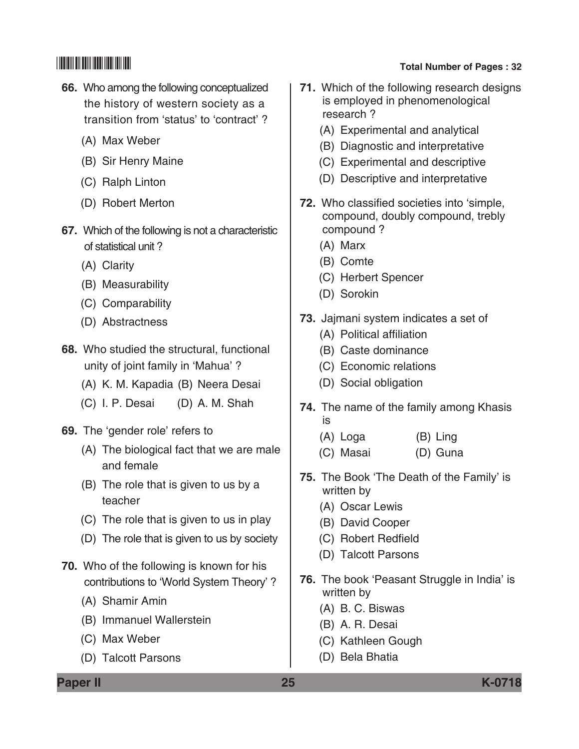- **66.** Who among the following conceptualized the history of western society as a transition from 'status' to 'contract' ?
	- (A) Max Weber
	- (B) Sir Henry Maine
	- (C) Ralph Linton
	- (D) Robert Merton
- **67.** Which of the following is not a characteristic of statistical unit ?
	- (A) Clarity
	- (B) Measurability
	- (C) Comparability
	- (D) Abstractness
- **68.** Who studied the structural, functional unity of joint family in 'Mahua' ?
	- (A) K. M. Kapadia (B) Neera Desai
	- (C) I. P. Desai (D) A. M. Shah
- **69.** The 'gender role' refers to
	- (A) The biological fact that we are male and female
	- (B) The role that is given to us by a teacher
	- (C) The role that is given to us in play
	- (D) The role that is given to us by society
- **70.** Who of the following is known for his contributions to 'World System Theory' ?
	- (A) Shamir Amin
	- (B) Immanuel Wallerstein
	- (C) Max Weber
	- (D) Talcott Parsons

- **71.** Which of the following research designs is employed in phenomenological research ?
	- (A) Experimental and analytical
	- (B) Diagnostic and interpretative
	- (C) Experimental and descriptive
	- (D) Descriptive and interpretative
- **72.** Who classified societies into 'simple, compound, doubly compound, trebly compound ?
	- (A) Marx
	- (B) Comte
	- (C) Herbert Spencer
	- (D) Sorokin
- **73.** Jajmani system indicates a set of
	- (A) Political affiliation
	- (B) Caste dominance
	- (C) Economic relations
	- (D) Social obligation
- **74.** The name of the family among Khasis is
	- (A) Loga (B) Ling
	- (C) Masai (D) Guna
- **75.** The Book 'The Death of the Family' is written by
	- (A) Oscar Lewis
	- (B) David Cooper
	- (C) Robert Redfield
	- (D) Talcott Parsons
- **76.** The book 'Peasant Struggle in India' is written by
	- (A) B. C. Biswas
	- (B) A. R. Desai
	- (C) Kathleen Gough
	- (D) Bela Bhatia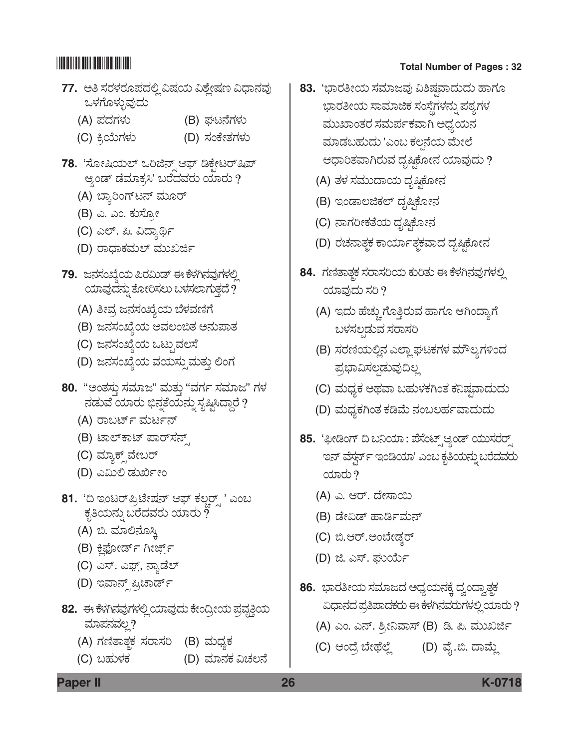- **77.** ಅತಿ ಸರಳರೂಪದಲ್ಲಿ ವಿಷಯ ವಿಶ್ಲೇಷಣ ವಿಧಾನವು ಒಳಗೊಳ್ಳುವುದು
	- (A) ಪದಗಳು (B) ಘಟನೆಗಳು
	- (C) ಕ್ರಿಯೆಗಳು (D) ಸಂಕೇತಗಳು
- 78. 'ಸೋಷಿಯಲ್ ಒರಿಜಿನ್ ಆಫ್ ಡಿಕೇಟರ್*ಷಿ*ಪ್ ಆ್ಯಂಡ್ ಡೆಮಾಕ್ರಸಿ' ಬರೆದವರು ಯಾರು ?
	- (A) ಬ್ಯಾರಿಂಗ್ ಟನ್ ಮೂರ್
	- (B) ಎ. ಎಂ. ಕುಸೋ
	- (C) ಎಲ್. ಪಿ. ವಿದ್ಯಾರ್ಥಿ
	- (D) ರಾಧಾಕಮಲ್ ಮುಖರ್ಜಿ
- **79.** ಜನಸಂಖ್ಯೆಯ ಪಿರಮಿಡ್ ಈ ಕೆಳಗಿನವುಗಳಲ್ಲಿ ಯಾವುದನ್ನು ತೋರಿಸಲು ಬಳಸಲಾಗುತ್ತದೆ  $\dot{?}$ 
	- (A) ತೀವ್ರ ಜನಸಂಖ್ಯೆಯ ಬೆಳವಣಿಗೆ
	- (B) ಜನಸಂಖ್ಯೆಯ ಅವಲಂಬಿತ ಅನುಪಾತ
	- (C) ಜನಸಂಖ್ಯೆಯ ಒಟ್ಟುವಲಸೆ
	- (D) ಜನಸಂಖ್ಯೆಯ ವಯಸ್ಸುಮತ್ತು ಲಿಂಗ
- 80. "ಅಂತಸ್ತು ಸಮಾಜ" ಮತ್ತು "ವರ್ಗ ಸಮಾಜ" ಗಳ ನಡುವೆ ಯಾರು ಭಿನ್ನತೆಯನ್ನು ಸೃಷ್ಟಿಸಿದ್ದಾರೆ ?
	- (A) ರಾಬರ್ಟ್ ಮರ್ಟನ್
	- (B) ಟಾಲ್ಕಾಟ್ ಪಾರ್**ಸ**ನ್
	- (C) ಮ್ಯಾಕ್ಸ್*ವೇಬರ್*
	- (D) ಎಮಿಲಿ ಡುರ್ಖೀಂ
- 81. 'ದಿ ಇಂಟರ್**ಪ್ರಿಟೇಷನ್ ಆಫ್ ಕಲ್ಷರ್** ' ಎಂಬ ಕೃತಿಯನ್ನು ಬರೆದವರು ಯಾರು  $\tilde{?}$ 
	- (A) ಬಿ. ಮಾಲಿನೊಸ್ತಿ
	- (B) ಕ್ಷಿಪೋರ್ಡ್ ಗೀರ್ಜ್ಸ್
	- (C) ಎಸ್. ಎಫ಼್, ನ್ಯಾಡೆಲ್
	- (D) ಇವಾನ್ಸ್ ಪ್ರಿಚಾರ್ಡ್
- 82. ಈ ಕೆಳಗಿನವುಗಳಲ್ಲಿ ಯಾವುದು ಕೇಂದ್ರೀಯ ಪ್ರವೃತ್ತಿಯ ಮಾಪನವಲ್ಲ?
	- (A) ಗಣಿತಾತ್<del>ಣ</del>ಕ ಸರಾಸರಿ (B) ಮಧ್ಯಕ
	- (C) ಬಹುಳಕ (D) ಮಾನಕ ವಿಚಲನೆ

- **83.** 'ಭಾರತೀಯ ಸಮಾಜವು ವಿಶಿಷ್ಠವಾದುದು ಹಾಗೂ ಭಾರತೀಯ ಸಾಮಾಜಿಕ ಸಂಸ್ಥೆಗಳನ್ನು ಪಠ್ಯಗಳ ಮುಖಾಂತರ ಸಮರ್ಪಕವಾಗಿ ಅಧ್ಯಯನ ಮಾಡಬಹುದು 'ಎಂಬ ಕಲ್ಪನೆಯ ಮೇಲೆ ಆಧಾರಿತವಾಗಿರುವ ದೃಷ್ಠಿಕೋನ ಯಾವುದು ?
	- (A) ತಳ ಸಮುದಾಯ ದೃಷ್ಠಿಕೋನ
	- (B) ಇಂಡಾಲಜಿಕಲ್ ದೃಷ್ಟಿಕೋನ
	- (C) ನಾಗರೀಕತೆಯ ದೃಷ್ಟಿಕೋನ
	- (D) ರಚನಾತ್ಮಕ ಕಾರ್ಯಾತ್ಮಕವಾದ ದೃಷ್ಠಿಕೋನ
- 84. ಗಣಿತಾತ್ಚಕ ಸರಾಸರಿಯ ಕುರಿತು ಈ ಕೆಳಗಿನವುಗಳಲ್ಲಿ ಯಾವುದು ಸರಿ  $?$ 
	- (A) ಇದು ಹೆಚ್ಚುಗೊತ್ತಿರುವ ಹಾಗೂ ಆಗಿಂದ್ಯಾಗೆ ಬಳಸಲ್ಪಡುವ ಸರಾಸರಿ
	- (B) ಸರಣಿಯಲ್ಲಿನ ಎಲ್ಲಾ ಘಟಕಗಳ ಮೌಲ್ಯಗಳಿಂದ ಪ್ರಭಾವಿಸಲ್ಪಡುವುದಿಲ್ಲ
	- (C) ಮಧ್ಯಕ ಅಥವಾ ಬಹುಳಕಗಿಂತ ಕನಿಷ್ಠವಾದುದು
	- (D) ಮಧ್ಯಕಗಿಂತ ಕಡಿಮೆ ನಂಬಲರ್ಹವಾದುದು
- 85. 'ಫೀಡಿಂಗ್ ದಿ ಬನಿಯಾ: ಪೆಸೆಂಟ್ಸ್ ಆ್ಯಂಡ್ ಯುಸರರ್ ಇನ್ ವೆಸ್ಗರ್ಸ್ ಇಂಡಿಯಾ' ಎಂಬ ಕೃತಿಯನ್ನು ಬರೆದವರು  $\cos \theta$ 
	- (A) ಎ. ಆರ್. ದೇಸಾಯಿ
	- (B) ಡೇವಿಡ್ ಹಾರ್ಡಿಮನ್
	- (C) ಬಿ.ಆರ್.ಅಂಬೇಡ್ತರ್
	- (D) ಜಿ. ಎಸ್. ಘುರ್ಯ
- 86. ಭಾರತೀಯ ಸಮಾಜದ ಅಧ್ಯಯನಕ್ಕೆ ದ್ವಂದ್ವಾ*ತ್ಥ*ಕ ವಿಧಾನದ ಪ್ರತಿಪಾದಕರು ಈ ಕೆಳಗಿನವರುಗಳಲ್ಲಿ ಯಾರು ?
	- (A) ಎಂ. ಎನ್. ಶ್ರೀನಿವಾಸ್ (B) ಡಿ. ಪಿ. ಮುಖರ್ಜಿ
	- (C) ಆಂದ್ರೆ ಬೇಥೆಲ್ಲೆ (D) ವೈ.ಬಿ. ದಾಮ್ಲೆ

**Paper II 26 K-0718**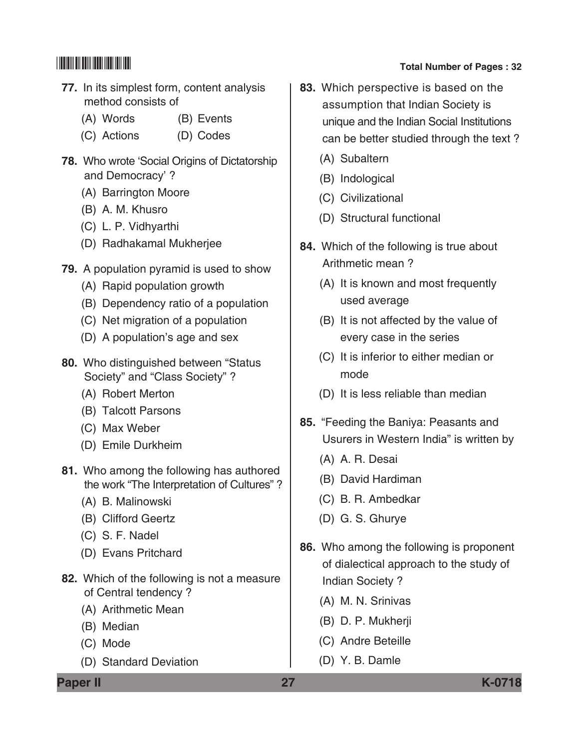- **77.** In its simplest form, content analysis method consists of
	- (A) Words (B) Events
	- (C) Actions (D) Codes
- **78.** Who wrote 'Social Origins of Dictatorship and Democracy' ?
	- (A) Barrington Moore
	- (B) A. M. Khusro
	- (C) L. P. Vidhyarthi
	- (D) Radhakamal Mukherjee
- **79.** A population pyramid is used to show
	- (A) Rapid population growth
	- (B) Dependency ratio of a population
	- (C) Net migration of a population
	- (D) A population's age and sex
- **80.** Who distinguished between "Status Society" and "Class Society" ?
	- (A) Robert Merton
	- (B) Talcott Parsons
	- (C) Max Weber
	- (D) Emile Durkheim
- **81.** Who among the following has authored the work "The Interpretation of Cultures"?
	- (A) B. Malinowski
	- (B) Clifford Geertz
	- (C) S. F. Nadel
	- (D) Evans Pritchard
- **82.** Which of the following is not a measure of Central tendency ?
	- (A) Arithmetic Mean
	- (B) Median
	- (C) Mode
	- (D) Standard Deviation

- **83.** Which perspective is based on the assumption that Indian Society is unique and the Indian Social institutions can be better studied through the text ?
	- (A) Subaltern
	- (B) Indological
	- (C) Civilizational
	- (D) Structural functional
- **84.** Which of the following is true about Arithmetic mean ?
	- (A) It is known and most frequently used average
	- (B) It is not affected by the value of every case in the series
	- (C) It is inferior to either median or mode
	- (D) It is less reliable than median
- **85.** "Feeding the Baniya: Peasants and Usurers in Western India" is written by
	- (A) A. R. Desai
	- (B) David Hardiman
	- (C) B. R. Ambedkar
	- (D) G. S. Ghurye
- **86.** Who among the following is proponent of dialectical approach to the study of Indian Society ?
	- (A) M. N. Srinivas
	- (B) D. P. Mukherji
	- (C) Andre Beteille
	- (D) Y. B. Damle

**Paper II 27 K-0718**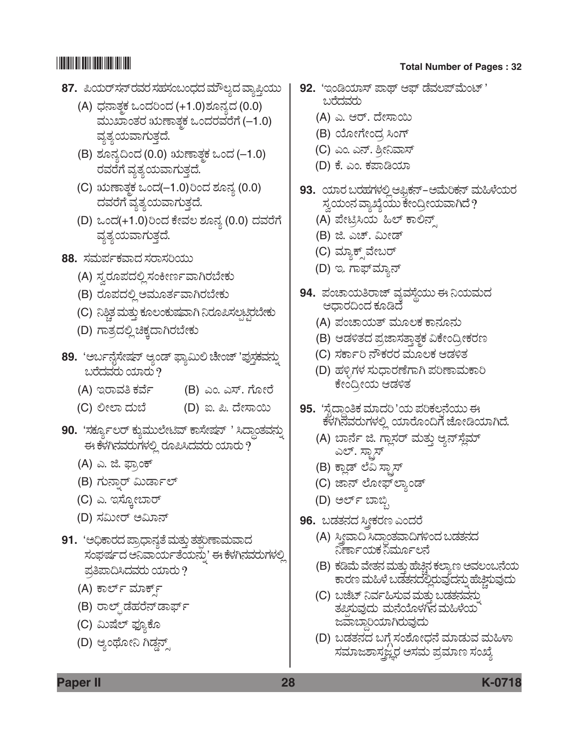- **87.** ಪಿಯರ್ಸನ್ ರವರ ಸಹಸಂಬಂಧದ ಮೌಲ್ಯದ ವ್ಯಾಪ್ತಿಯು
	- (A) ಧನಾತ್ತಕ ಒಂದರಿಂದ (+1.0)ಶೂನ್ಯದ (0.0) <u>ಮುಖಾಂತರ ಋಣಾತ್ತಕ ಒಂದರವರೆಗೆ (–1.0)</u> ವ್ಯತ್ಯಯವಾಗುತ್ತದೆ.
	- (B) ಶೂನ್ಯದಿಂದ (0.0) ಋಣಾತ್ಮಕ ಒಂದ (–1.0) ರವರೆಗೆ ವ್ಯತ್ಯಯವಾಗುತ್ತದೆ.
	- (C) ಋಣಾತ್ತಕ ಒಂದ(–1.0)ರಿಂದ ಶೂನ್ಯ (0.0) ದವರೆಗೆ ವ್ಯತ್ಯಯವಾಗುತ್ತದೆ.
	- (D) ಒಂದ(+1.0)ರಿಂದ ಕೇವಲ ಶೂನ್ಯ (0.0) ದವರೆಗೆ ವ್ಯತ್ಯಯವಾಗುತ್ತದೆ.
- **88.** ಸಮರ್ಪಕವಾದ ಸರಾಸರಿಯು
	- (A) ಸ್ವರೂಪದಲ್ಲಿ ಸಂಕೀರ್ಣವಾಗಿರಬೇಕು
	- (B) ರೂಪದಲ್ಲಿ ಅಮೂರ್ತವಾಗಿರಬೇಕು
	- (C) ನಿಶ್ಚಿತ ಮತ್ತು ಕೂಲಂಕುಷವಾಗಿ ನಿರೂಪಿಸಲ್ಪಟ್ಟಿರಬೇಕು
	- (D) ಗಾತ್ರದಲ್ಲಿ ಚಿಕ್ಕದಾಗಿರಬೇಕು
- 89. 'ಅರ್ಬನ್ಗೆಸೇಷನ್ ಆ್ಯಂಡ್ ಫ್ಯಾಮಿಲಿ ಚೇಂಜ್ 'ಪುಸ್ತಕವನ್ನು ಬರೆದವರು ಯಾರು  $\overline{\mathcal{P}}$ 
	- (A) ಇರಾವತಿ ಕರ್ವೆ (B) ಎಂ. ಎಸ್. ಗೋರೆ
	- (C) ÈàÇÝ ¨Üá¸æ (D) I. ². ¨æàÓÝÀá
- 90. 'ಸರ್ಕ್ಯೂಲರ್ ಕ್ಕುಮುಲೇಟಿವ್ ಕಾಸೇಷನ್ ' ಸಿದ್ಧಾಂತವನ್ನು ಈ ಕೆಳಗಿನವರುಗಳಲ್ಲಿ ರೂಪಿಸಿದವರು ಯಾರು ?
	- (A) ಎ. ಜಿ. ಫ್ರಾಂಕ್
	- (B) ಗುನ್ನಾರ್ ಮಿರ್ಡಾಲ್
	- (C) ಎ. ಇಸ್ತೋಬಾರ್
	- (D) ಸಮೀರ್ ಅಮಿಾನ್
- 91. 'ಅಧಿಕಾರದ ಪ್ರಾಧಾನ್ಯತೆ ಮತ್ತು ತತ್ತರಿಣಾಮವಾದ ಸಂಘರ್ಷದ ಅನಿವಾರ್ಯತೆಯನ್ನು' ಈ ಕೆಳಗಿನವರುಗಳಲ್ಲಿ ಪ್ರತಿಪಾದಿಸಿದವರು ಯಾರು ?
	- (A) ಕಾರ್ಲ್ ಮಾರ್ಕ್
	- (B) ರಾಲ್ಸ್ ಡೆಹರೆನ್ ಡಾರ್ಫ್
	- (C) ಮಿಷೆಲ್ ಫ್ಯೂಕೊ
	- (D) ಆ್ಯಂಥೋನಿ ಗಿಡ್ಡನ್ಸ್

- **92.** 'ಇಂಡಿಯಾಸ್ ಪಾಥ್ ಆಫ್ ಡೆವಲಪ್ಮೆಂಟ್ ' ಬರೆದವರು
	- (A) ಎ. ಆರ್. ದೇಸಾಯಿ
	- (B) ಯೋಗೇಂದ್ರ ಸಿಂಗ್
	- (C) ಎಂ. ಎನ್. ಶ್ರೀನಿವಾಸ್
	- (D) ಕೆ. ಎಂ. ಕಪಾಡಿಯಾ
- **93.** ಯಾರ ಬರಹಗಳಲ್ಲಿ ಆಫ್ರಿಕನ್–ಅಮೆರಿಕನ್ ಮಹಿಳೆಯರ ಸ್ವಯಂನ ವ್ಯಾಖ್ಯೆಯು ಕೇಂದ್ರೀಯವಾಗಿದೆ ?
	- (A) ಪೇಟ್ರಿಸಿಯ ಹಿಲ್ ಕಾಲಿನ್ಸ್
	- (B) ಜಿ. ಎಚ್. ಮೀಡ್
	- (C) ಮ್ಯಾಕ್ಸ್*ವೇಬರ್*
	- (D) ಇ. ಗಾಫ್*ಮ್ಯಾನ್*
- **94.** ಪಂಚಾಯತಿರಾಜ್ ವ್ಯವಸ್ತೆಯು ಈ ನಿಯಮದ ಆಧಾರದಿಂದ ಕೂಡಿದೆ
	- (A) ಪಂಚಾಯತ್ ಮೂಲಕ ಕಾನೂನು
	- (B) ಆಡಳಿತದ ಪ್ರಜಾಸತ್ತಾತ್ತಕ ವಿಕೇಂದ್ರೀಕರಣ
	- (C) ಸರ್ಕಾರಿ ನೌಕರರ ಮೂಲಕ ಆಡಳಿತ
	- (D) ಹಳ್ಳಿಗಳ ಸುಧಾರಣೆಗಾಗಿ ಪರಿಣಾಮಕಾರಿ ಕೇಂದ್ರೀಯ ಆಡಳಿತ
- **95.** 'Óæç¨Ýœí£PÜ ÊÜÞ¨ÜÄ '¿á ±ÜÄPÜÆ³®æ¿áá D PæÙÜX®ÜÊÜÃÜáWÜÙÜÈÉ ¿ÞÃæãí©Wæ hæãàw¿ÞX¨æ.
	- (A) ಬಾರ್ನೆ ಜಿ. ಗ್ಲಾಸರ್ ಮತ್ತು ಆ್ಯನ್**ಸ್ಲೆಮ್** ಎಲ್. ಸ್ಟಾಸ್
	- (B) ಕ್ಲಾಡ್ ಲೆವಿ ಸ್ಟಾಸ್
	- (C) ಜಾನ್ ಲೋಫ್ ಲ್ಯಾಂಡ್
	- (D) ಅರ್ಲ್ ಬಾಬ್ಸಿ
- 96. ಬಡತನದ ಸ್ತ್ರೀಕರಣ ಎಂದರೆ
	- (A) ಸ್ಕೀವಾದಿ ಸಿದ್ಧಾಂತವಾದಿಗಳಿಂದ ಬಡತನದ ನಿರ್ಣಾಯಕ ನಿರ್ಮೂಲನೆ
	- (B) ಕಡಿಮೆ ವೇತನ ಮತ್ತು ಹೆಚ್ಚಿನ ಕಲ್ಯಾಣ ಅವಲಂಬನೆಯ ಕಾರಣ ಮಹಿಳೆ ಬಡತನದಲ್ಲಿರುವುದನ್ನು ಹೆಚ್ಚಿಸುವುದು
	- (C) ಬಜೆಟ್ ನಿರ್ವಹಿಸುವ ಮತ್ತು ಬಡತನವನು ತಪಿಸುವುದು ಮನೆಯೊಳಗಿನ ಮಹಿಳೆಯ ಜವಾಬ್ದಾರಿಯಾಗಿರುವುದು
	- (D) ಬಡತನದ ಬಗ್ಗೆ ಸಂಶೋಧನೆ ಮಾಡುವ ಮಹಿಳಾ ಸಮಾಜಶಾಸ್ತ್ರಜ್ಞರ ಅಸಮ ಪ್ರಮಾಣ ಸಂಖ್ಯೆ

**Paper II 28 K-0718**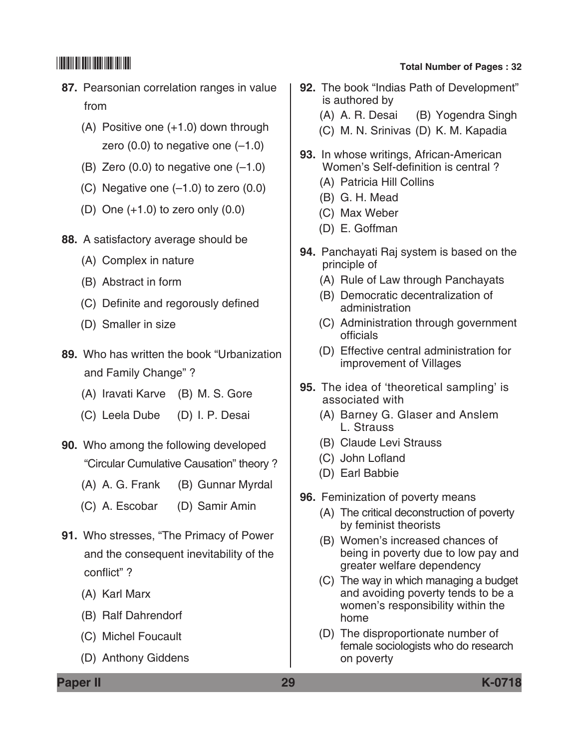- **87.** Pearsonian correlation ranges in value from
	- (A) Positive one (+1.0) down through zero  $(0.0)$  to negative one  $(-1.0)$
	- (B) Zero  $(0.0)$  to negative one  $(-1.0)$
	- (C) Negative one  $(-1.0)$  to zero  $(0.0)$
	- (D) One  $(+1.0)$  to zero only  $(0.0)$
- **88.** A satisfactory average should be
	- (A) Complex in nature
	- (B) Abstract in form
	- (C) Definite and regorously defined
	- (D) Smaller in size
- **89.** Who has written the book "Urbanization and Family Change" ?
	- (A) Iravati Karve (B) M. S. Gore
	- (C) Leela Dube (D) I. P. Desai
- **90.** Who among the following developed "Circular Cumulative Causation" theory ?
	- (A) A. G. Frank (B) Gunnar Myrdal
	- (C) A. Escobar (D) Samir Amin
- **91.** Who stresses, "The Primacy of Power and the consequent inevitability of the conflict" ?
	- (A) Karl Marx
	- (B) Ralf Dahrendorf
	- (C) Michel Foucault
	- (D) Anthony Giddens

- **92.** The book "Indias Path of Development" is authored by (A) A. R. Desai (B) Yogendra Singh
	- (C) M. N. Srinivas (D) K. M. Kapadia
- **93.** In whose writings, African-American Women's Self-definition is central ?
	- (A) Patricia Hill Collins
	- (B) G. H. Mead
	- (C) Max Weber
	- (D) E. Goffman
- **94.** Panchayati Raj system is based on the principle of
	- (A) Rule of Law through Panchayats
	- (B) Democratic decentralization of administration
	- (C) Administration through government officials
	- (D) Effective central administration for improvement of Villages
- **95.** The idea of 'theoretical sampling' is associated with
	- (A) Barney G. Glaser and Anslem L. Strauss
	- (B) Claude Levi Strauss
	- (C) John Lofland
	- (D) Earl Babbie
- **96.** Feminization of poverty means
	- (A) The critical deconstruction of poverty by feminist theorists
	- (B) Women's increased chances of being in poverty due to low pay and greater welfare dependency
	- (C) The way in which managing a budget and avoiding poverty tends to be a women's responsibility within the home
	- (D) The disproportionate number of female sociologists who do research on poverty

**Paper II 29 K-0718**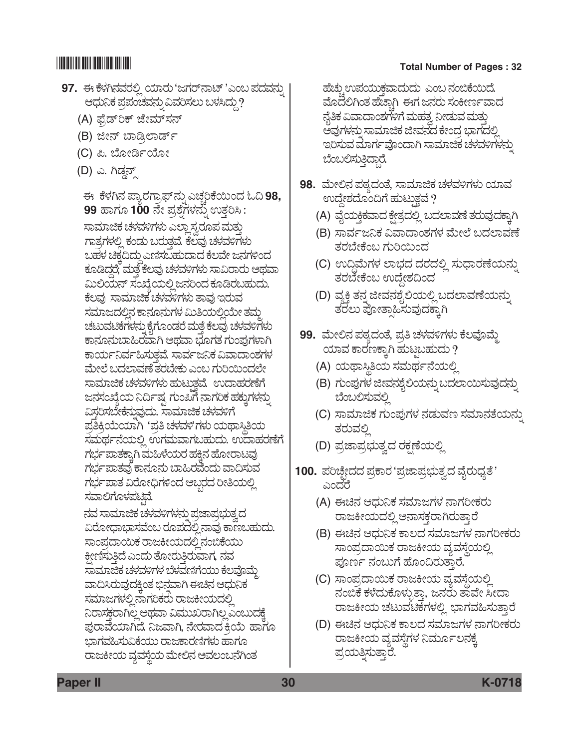- **97.** ಈ ಕೆಳಗಿನವರಲ್ಲಿ ಯಾರು 'ಜಗರ್**ನಾಟ್** 'ಎಂಬ ಪದವನ್ನು ಆಧುನಿಕ ಪ್ರಪಂಚವನ್ನು ವಿವರಿಸಲು ಬಳಸಿದ್ದು?
	- (A) ಫೈಡ್**ರಿಕ್ ಜೇಮ್**ಸನ್
	- (B) ಜೀನ್ ಬಾಡ್ಸಿಲಾರ್ಡ್
	- (C) ಪಿ. ಬೋರ್ಡಿಯೋ
	- (D) ಎ. ಗಿಡ್ಡನ್ಸ್

<u>ಈ ಕೆಳಗಿನ ಪ್ಯಾರಗ್ರಾಫ್ ನ್ನು ಎಚ್ಚರಿಕೆಯಿಂದ ಓದಿ 98, </u> **99** ಹಾಗೂ 100 ನೇ ಪ್ರಶ್ನೆಗಳನ್ನು ಉತ್ತರಿಸಿ : ಸಾಮಾಜಿಕ ಚಳವಳಿಗಳು ಎಲ್ಲಾ ಸ್ವರೂಪ ಮತ್ತು ಗಾತ್ರಗಳಲ್ಲಿ ಕಂಡು ಬರುತ್ತವೆ. ಕೆಲವು ಚಳವಳಿಗಳು ಬಹಳ ಚಿಕ್ಕದಿದ್ದು ಎಣಿಸಬಹುದಾದ ಕೆಲವೇ ಜನಗಳಿಂದ ಕೂಡಿದ್ದರೆ; ಮತ್ತೆ ಕೆಲವು ಚಳವಳಿಗಳು ಸಾವಿರಾರು ಅಥವಾ ಮಿಲಿಯನ್ ಸಂಖ್ಯೆಯಲ್ಲಿ ಜನರಿಂದ ಕೂಡಿರಬಹುದು. ಕೆಲವು ಸಾಮಾಜಿಕ ಚಳವಳಿಗಳು ತಾವು ಇರುವ ಸಮಾಜದಲಿನ ಕಾನೂನುಗಳ ಮಿತಿಯಲಿಯೇ ತಮ ಚಟುವಟಿಕೆಗಳನ್ನು ಕೈಗೊಂಡರೆ ಮತ್ತೆ ಕೆಲವು ಚಳವಳಿಗಳು ಕಾನೂನುಬಾಹಿರವಾಗಿ ಅಥವಾ ಭೂಗತ ಗುಂಪುಗಳಾಗಿ ಕಾರ್ಯನಿರ್ವಹಿಸುತ್ತವೆ. ಸಾರ್ವಜನಿಕ ವಿವಾದಾಂಶಗಳ ಮೇಲೆ ಬದಲಾವಣೆ ತರಬೇಕು ಎಂಬ ಗುರಿಯಿಂದಲೇ ಸಾಮಾಜಿಕ ಚಳವಳಿಗಳು ಹುಟುತ್ತವೆ. ಉದಾಹರಣೆಗೆ ಜನಸಂಖ್ಯೆಯ ನಿರ್ದಿಷ್ಟ ಗುಂಪಿಗೆ ನಾಗರಿಕ ಹಕ್ಕುಗಳನ್ನು ವಿಸ್ತರಿಸಬೇಕೆನ್ನುವುದು. ಸಾಮಾಜಿಕ ಚಳವಳಿಗೆ<br>ಪ್ರತಿಕ್ರಿಯೆಯಾಗಿ 'ಪ್ರತಿ ಚಳವಳಿ'ಗಳು ಯಥಾಸ್ತಿತಿಯ ಸಮರ್ಥನೆಯಲ್ಲಿ ಉಗಮವಾಗಬಹುದು. ಉದಾಹರಣೆಗೆ ಗರ್ಭಪಾತಕ್ಕಾಗಿ ಮಹಿಳೆಯರ ಹಕ್ತಿನ ಹೋರಾಟವು ಗರ್ಭಪಾತವು ಕಾನೂನು ಬಾಹಿರವೆಂದು ವಾದಿಸುವ ಗರ್ಭಪಾತ ವಿರೋಧಿಗಳಿಂದ ಅಬ್ಬರದ ರೀತಿಯಲ್ಲಿ ಸವಾಲಿಗೊಳಪಟ್ಟಿವೆ.

ನವ ಸಾಮಾಜಿಕ ಚಳವಳಿಗಳನ್ನು ಪ್ರಜಾಪ್ಗಭುತ್ವದ ವಿರೋಧಾಭಾಸವೆಂಬ ರೂಪದಲ್ಲಿ ನಾವು ಕಾಣಬಹುದು. ಸಾಂಪ್ರದಾಯಿಕ ರಾಜಕೀಯದಲ್ಲಿ ನಂಬಿಕೆಯು ಕ್ಷೀಣಿಸುತ್ತಿದೆ ಎಂದು ತೋರುತ್ತಿರುವಾಗ, ನವ ಸಾಮಾಜಿಕ ಚಳವಳಿಗಳ ಬೆಳವಣಿಗೆಯು ಕೆಲವೊಮ್ಮೆ ವಾದಿಸಿರುವುದಕ್ರಿಂತ ಭಿನವಾಗಿ ಈಚಿನ ಆಧುನಿಕ ಸಮಾಜಗಳಲ್ಲಿ ನಾಗರಿಕರು ರಾಜಕೀಯದಲ್ಲಿ ನಿರಾಸಕ್ತರಾಗಿಲ್ಲ ಅಥವಾ ವಿಮುಖರಾಗಿಲ್ಲ ಎಂಬುದಕ್ಕೆ ಪುರಾವೆಯಾಗಿದೆ. ನಿಜವಾಗಿ, ನೇರವಾದ ಕ್ರಿಯೆ ಹಾಗೂ ಭಾಗವಹಿಸುವಿಕೆಯು ರಾಜಕಾರಣಿಗಳು ಹಾಗೂ ರಾಜಕೀಯ ವ್ಯವಸ್ಥೆಯ ಮೇಲಿನ ಅವಲಂಬನೆಗಿಂತ

ಹೆಚ್ಚುಉಪಯುಕ್ತವಾದುದು ಎಂಬ ನಂಬಿಕೆಯಿದೆ. ಮೊದಲಿಗಿಂತ ಹೆಚ್ಚಾಗಿ ಈಗ ಜನರು ಸಂಕೀರ್ಣವಾದ ನ್ನೆತಿಕ ವಿವಾದಾಂಶಗಳಿಗೆ ಮಹತ್ವ ನೀಡುವ ಮತ್ತು ಅವುಗಳನ್ನು ಸಾಮಾಜಿಕ ಜೀವನದ ಕೇಂದ್ರ ಭಾಗದಲ್ಲಿ ಇರಿಸುವ ಮಾರ್ಗವೊಂದಾಗಿ ಸಾಮಾಜಿಕ ಚಳವಳಿಗಳನ್ನು ಬೆಂಬಲಿಸುತ್ತಿದ್ದಾರೆ.

- **98.** ಮೇಲಿನ ಪಠ್ಯದಂತೆ, ಸಾಮಾಜಿಕ ಚಳವಳಿಗಳು ಯಾವ ಉದ್ದೇಶದೊಂದಿಗೆ ಹುಟ್ತುತ್ತವೆ ?
	- (A) ವೈಯಕ್ತಿಕವಾದ ಕ್ಷೇತ್ರದಲ್ಲಿ ಬದಲಾವಣೆ ತರುವುದಕ್ಕಾಗಿ
	- (B) ಸಾರ್ವಜನಿಕ ವಿವಾದಾಂಶಗಳ ಮೇಲೆ ಬದಲಾವಣೆ ತರಬೇಕೆಂಬ ಗುರಿಯಿಂದ
	- (C) ಉದ್ದಿಮೆಗಳ ಲಾಭದ ದರದಲ್ಲಿ ಸುಧಾರಣೆಯನ್ನು ತರಬೇಕೆಂಬ ಉದ್ದೇಶದಿಂದ
	- (D) ವ್ಯಕ್ತಿ ತನ್ನ ಜೀವನಶೈಲಿಯಲ್ಲಿ ಬದಲಾವಣೆಯನ್ನು ತರಲು ಪೋತ್ಪಾಹಿಸುವುದಕ್ಕಾಗಿ
- **99.** ಮೇಲಿನ ಪಠ್ಯದಂತೆ, ಪ್ರತಿ ಚಳವಳಿಗಳು ಕೆಲವೊಮ್ಮೆ ಯಾವ ಕಾರಣಕ್ಕಾಗಿ ಹುಟ್ಟಬಹುದು ?
	- (A) ಯಥಾಸ್ಥಿತಿಯ ಸಮರ್ಥನೆಯಲ್ಲಿ
	- (B) ಗುಂಪುಗಳ ಜೀವನಶೈಲಿಯನ್ನು ಬದಲಾಯಿಸುವುದನ್ನು ಬೆಂಬಲಿಸುವಲ್ಲಿ
	- (C) ಸಾಮಾಜಿಕ ಗುಂಪುಗಳ ನಡುವಣ ಸಮಾನತೆಯನ್ನು ತರುವಲಿ
	- (D) ಪ್ರಜಾಪ್ರಭುತ್ವದ ರಕ್ಷಣೆಯಲ್ಲಿ
- <mark>100.</mark> ಪರಿಚ್ಛೇದದ ಪ್ರಕಾರ 'ಪ್ರಜಾಪ್ರಭುತ್ವದ ವೈರುಧ್ಯತೆ' ಎಂದರೆ
	- (A) ಈಚಿನ ಆಧುನಿಕ ಸಮಾಜಗಳ ನಾಗರೀಕರು ರಾಜಕೀಯದಲ್ಲಿ ಅನಾಸಕ್ತರಾಗಿರುತ್ತಾರೆ
	- (B) ಈಚಿನ ಆಧುನಿಕ ಕಾಲದ ಸಮಾಜಗಳ ನಾಗರೀಕರು ಸಾಂಪ್ರದಾಯಿಕ ರಾಜಕೀಯ ವ್ಯವಸ್ಥೆಯಲ್ಲಿ ಪೂರ್ಣ ನಂಬುಗೆ ಹೊಂದಿರುತ್ತಾರೆ.
	- (C) ಸಾಂಪ್ರದಾಯಿಕ ರಾಜಕೀಯ ವ್ಯವಸ್ಥೆಯಲ್ಲಿ ನಂಬಿಕೆ ಕಳೆದುಕೊಳ್ಳುತ್ತಾ, ಜನರು ತಾವೇ ಸೀದಾ ರಾಜಕೀಯ ಚಟುವಟಿಕೆಗಳಲ್ಲಿ ಭಾಗವಹಿಸುತ್ತಾರೆ
	- (D) ಈಚಿನ ಆಧುನಿಕ ಕಾಲದ ಸಮಾಜಗಳ ನಾಗರೀಕರು ರಾಜಕೀಯ ವ್ಯವಸ್ಥೆಗಳ ನಿರ್ಮೂಲನಕ್ಕೆ ಪ್ರಯತ್ನಿಸುತ್ತಾರೆ.

**Paper II 30 K-0718**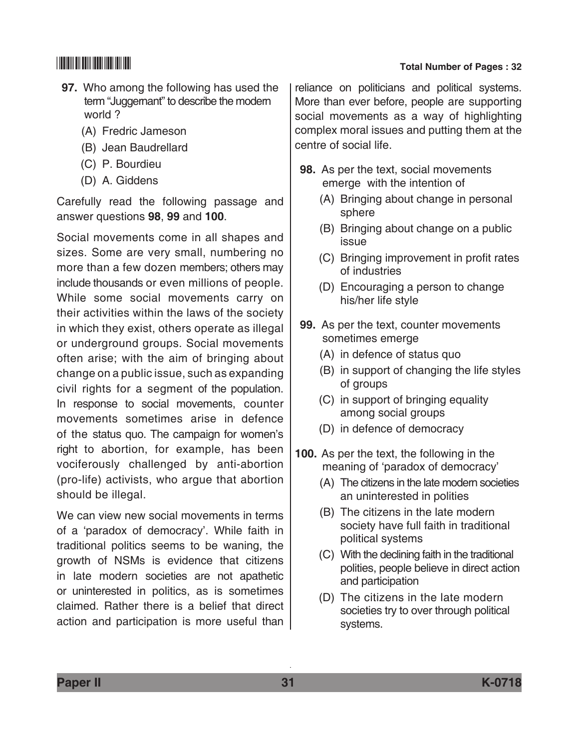- **97.** Who among the following has used the term "Juggernant" to describe the modern world ?
	- (A) Fredric Jameson
	- (B) Jean Baudrellard
	- (C) P. Bourdieu
	- (D) A. Giddens

Carefully read the following passage and answer questions **98**, **99** and **100**.

Social movements come in all shapes and sizes. Some are very small, numbering no more than a few dozen members; others may include thousands or even millions of people. While some social movements carry on their activities within the laws of the society in which they exist, others operate as illegal or underground groups. Social movements often arise; with the aim of bringing about change on a public issue, such as expanding civil rights for a segment of the population. In response to social movements, counter movements sometimes arise in defence of the status quo. The campaign for women's right to abortion, for example, has been vociferously challenged by anti-abortion (pro-life) activists, who argue that abortion should be illegal.

We can view new social movements in terms of a 'paradox of democracy'. While faith in traditional politics seems to be waning, the growth of NSMs is evidence that citizens in late modern societies are not apathetic or uninterested in politics, as is sometimes claimed. Rather there is a belief that direct action and participation is more useful than

# \*K0718\* **Total Number of Pages : 32**

reliance on politicians and political systems. More than ever before, people are supporting social movements as a way of highlighting complex moral issues and putting them at the centre of social life.

- **98.** As per the text, social movements emerge with the intention of
	- (A) Bringing about change in personal sphere
	- (B) Bringing about change on a public issue
	- (C) Bringing improvement in profit rates of industries
	- (D) Encouraging a person to change his/her life style
- **99.** As per the text, counter movements sometimes emerge
	- (A) in defence of status quo
	- (B) in support of changing the life styles of groups
	- (C) in support of bringing equality among social groups
	- (D) in defence of democracy
- **100.** As per the text, the following in the meaning of 'paradox of democracy'
	- (A) The citizens in the late modern societies an uninterested in polities
	- (B) The citizens in the late modern society have full faith in traditional political systems
	- (C) With the declining faith in the traditional polities, people believe in direct action and participation
	- (D) The citizens in the late modern societies try to over through political systems.